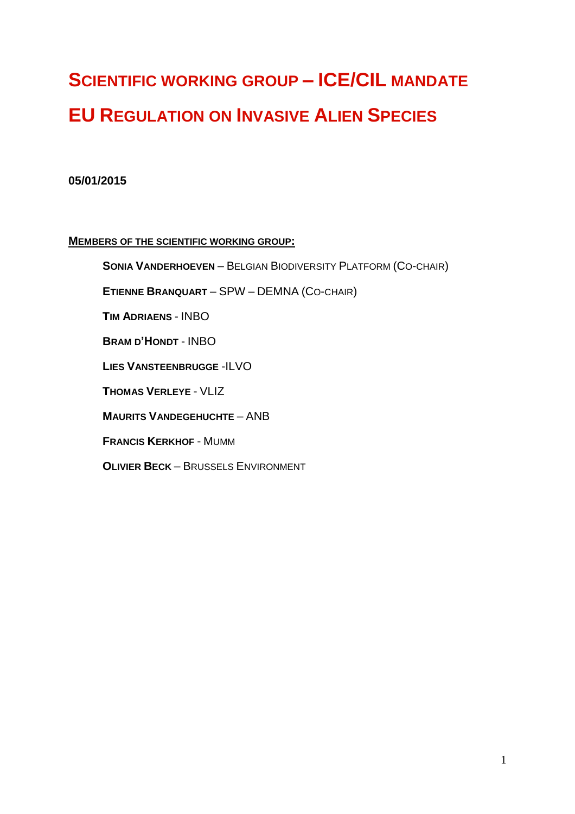# **SCIENTIFIC WORKING GROUP – ICE/CIL MANDATE EU REGULATION ON INVASIVE ALIEN SPECIES**

## **05/01/2015**

#### **MEMBERS OF THE SCIENTIFIC WORKING GROUP:**

**SONIA VANDERHOEVEN** – BELGIAN BIODIVERSITY PLATFORM (CO-CHAIR)

**ETIENNE BRANQUART** – SPW – DEMNA (CO-CHAIR)

**TIM ADRIAENS** - INBO

**BRAM D'HONDT** - INBO

**LIES VANSTEENBRUGGE** -ILVO

**THOMAS VERLEYE** - VLIZ

**MAURITS VANDEGEHUCHTE** – ANB

**FRANCIS KERKHOF** - MUMM

**OLIVIER BECK** – BRUSSELS ENVIRONMENT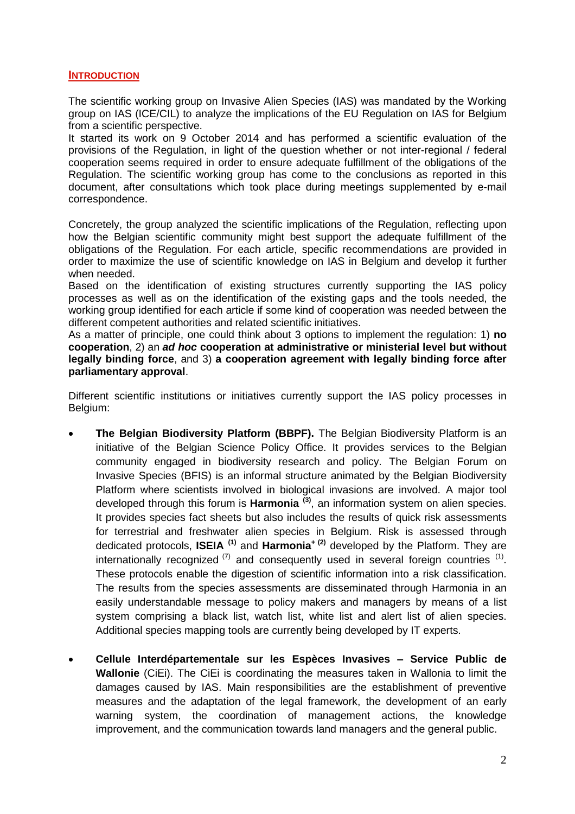#### **INTRODUCTION**

The scientific working group on Invasive Alien Species (IAS) was mandated by the Working group on IAS (ICE/CIL) to analyze the implications of the EU Regulation on IAS for Belgium from a scientific perspective.

It started its work on 9 October 2014 and has performed a scientific evaluation of the provisions of the Regulation, in light of the question whether or not inter-regional / federal cooperation seems required in order to ensure adequate fulfillment of the obligations of the Regulation. The scientific working group has come to the conclusions as reported in this document, after consultations which took place during meetings supplemented by e-mail correspondence.

Concretely, the group analyzed the scientific implications of the Regulation, reflecting upon how the Belgian scientific community might best support the adequate fulfillment of the obligations of the Regulation. For each article, specific recommendations are provided in order to maximize the use of scientific knowledge on IAS in Belgium and develop it further when needed.

Based on the identification of existing structures currently supporting the IAS policy processes as well as on the identification of the existing gaps and the tools needed, the working group identified for each article if some kind of cooperation was needed between the different competent authorities and related scientific initiatives.

As a matter of principle, one could think about 3 options to implement the regulation: 1) **no cooperation**, 2) an *ad hoc* **cooperation at administrative or ministerial level but without legally binding force**, and 3) **a cooperation agreement with legally binding force after parliamentary approval**.

Different scientific institutions or initiatives currently support the IAS policy processes in Belgium:

- **The Belgian Biodiversity Platform (BBPF).** The Belgian Biodiversity Platform is an initiative of the Belgian Science Policy Office. It provides services to the Belgian community engaged in biodiversity research and policy. The Belgian Forum on Invasive Species (BFIS) is an informal structure animated by the Belgian Biodiversity Platform where scientists involved in biological invasions are involved. A major tool developed through this forum is **Harmonia (3)** , an information system on alien species. It provides species fact sheets but also includes the results of quick risk assessments for terrestrial and freshwater alien species in Belgium. Risk is assessed through dedicated protocols, **ISEIA (1)** and **Harmonia<sup>+</sup> (2)** developed by the Platform. They are internationally recognized  $(7)$  and consequently used in several foreign countries  $(1)$ . These protocols enable the digestion of scientific information into a risk classification. The results from the species assessments are disseminated through Harmonia in an easily understandable message to policy makers and managers by means of a list system comprising a black list, watch list, white list and alert list of alien species. Additional species mapping tools are currently being developed by IT experts.
- **Cellule Interdépartementale sur les Espèces Invasives – Service Public de Wallonie** (CiEi). The CiEi is coordinating the measures taken in Wallonia to limit the damages caused by IAS. Main responsibilities are the establishment of preventive measures and the adaptation of the legal framework, the development of an early warning system, the coordination of management actions, the knowledge improvement, and the communication towards land managers and the general public.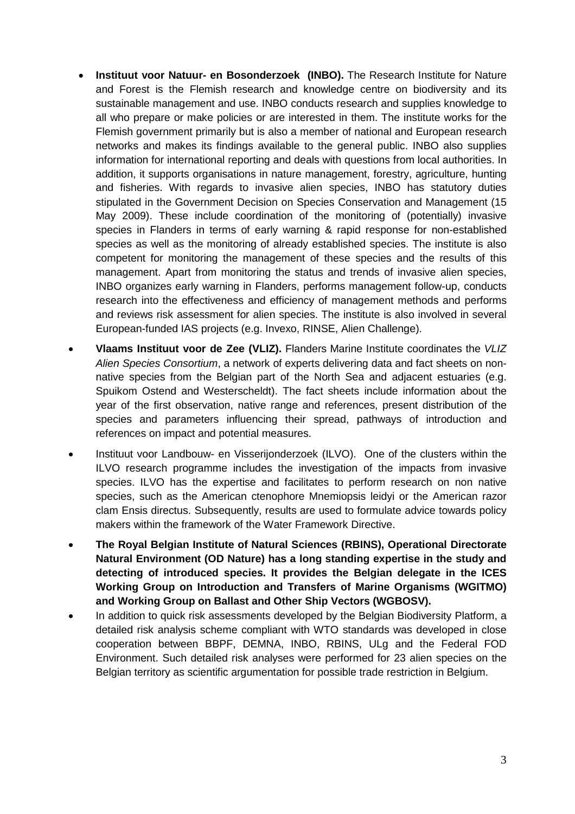- **Instituut voor Natuur- en Bosonderzoek (INBO).** The Research Institute for Nature and Forest is the Flemish research and knowledge centre on biodiversity and its sustainable management and use. INBO conducts research and supplies knowledge to all who prepare or make policies or are interested in them. The institute works for the Flemish government primarily but is also a member of national and European research networks and makes its findings available to the general public. INBO also supplies information for international reporting and deals with questions from local authorities. In addition, it supports organisations in nature management, forestry, agriculture, hunting and fisheries. With regards to invasive alien species, INBO has statutory duties stipulated in the Government Decision on Species Conservation and Management (15 May 2009). These include coordination of the monitoring of (potentially) invasive species in Flanders in terms of early warning & rapid response for non-established species as well as the monitoring of already established species. The institute is also competent for monitoring the management of these species and the results of this management. Apart from monitoring the status and trends of invasive alien species, INBO organizes early warning in Flanders, performs management follow-up, conducts research into the effectiveness and efficiency of management methods and performs and reviews risk assessment for alien species. The institute is also involved in several European-funded IAS projects (e.g. Invexo, RINSE, Alien Challenge).
- **Vlaams Instituut voor de Zee (VLIZ).** Flanders Marine Institute coordinates the *VLIZ Alien Species Consortium*, a network of experts delivering data and fact sheets on nonnative species from the Belgian part of the North Sea and adjacent estuaries (e.g. Spuikom Ostend and Westerscheldt). The fact sheets include information about the year of the first observation, native range and references, present distribution of the species and parameters influencing their spread, pathways of introduction and references on impact and potential measures.
- Instituut voor Landbouw- en Visserijonderzoek (ILVO). One of the clusters within the ILVO research programme includes the investigation of the impacts from invasive species. ILVO has the expertise and facilitates to perform research on non native species, such as the American ctenophore Mnemiopsis leidyi or the American razor clam Ensis directus. Subsequently, results are used to formulate advice towards policy makers within the framework of the Water Framework Directive.
- **The Royal Belgian Institute of Natural Sciences (RBINS), Operational Directorate Natural Environment (OD Nature) has a long standing expertise in the study and detecting of introduced species. It provides the Belgian delegate in the ICES Working Group on Introduction and Transfers of Marine Organisms (WGITMO) and Working Group on Ballast and Other Ship Vectors (WGBOSV).**
- In addition to quick risk assessments developed by the Belgian Biodiversity Platform, a detailed risk analysis scheme compliant with WTO standards was developed in close cooperation between BBPF, DEMNA, INBO, RBINS, ULg and the Federal FOD Environment. Such detailed risk analyses were performed for 23 alien species on the Belgian territory as scientific argumentation for possible trade restriction in Belgium.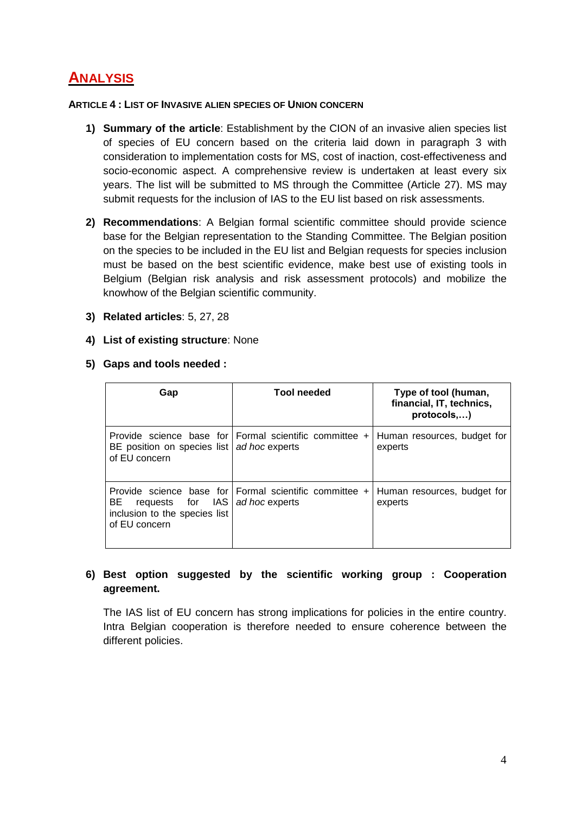## **ANALYSIS**

#### **ARTICLE 4 : LIST OF INVASIVE ALIEN SPECIES OF UNION CONCERN**

- **1) Summary of the article**: Establishment by the CION of an invasive alien species list of species of EU concern based on the criteria laid down in paragraph 3 with consideration to implementation costs for MS, cost of inaction, cost-effectiveness and socio-economic aspect. A comprehensive review is undertaken at least every six years. The list will be submitted to MS through the Committee (Article 27). MS may submit requests for the inclusion of IAS to the EU list based on risk assessments.
- **2) Recommendations**: A Belgian formal scientific committee should provide science base for the Belgian representation to the Standing Committee. The Belgian position on the species to be included in the EU list and Belgian requests for species inclusion must be based on the best scientific evidence, make best use of existing tools in Belgium (Belgian risk analysis and risk assessment protocols) and mobilize the knowhow of the Belgian scientific community.
- **3) Related articles**: 5, 27, 28
- **4) List of existing structure**: None
- **5) Gaps and tools needed :**

| Gap                                                                      | <b>Tool needed</b>                                                       | Type of tool (human,<br>financial, IT, technics,<br>protocols,) |
|--------------------------------------------------------------------------|--------------------------------------------------------------------------|-----------------------------------------------------------------|
| BE position on species list ad hoc experts<br>of EU concern              | Provide science base for Formal scientific committee +                   | Human resources, budget for<br>experts                          |
| requests for IAS<br>BE<br>inclusion to the species list<br>of EU concern | Provide science base for Formal scientific committee +<br>ad hoc experts | Human resources, budget for<br>experts                          |

#### **6) Best option suggested by the scientific working group : Cooperation agreement.**

The IAS list of EU concern has strong implications for policies in the entire country. Intra Belgian cooperation is therefore needed to ensure coherence between the different policies.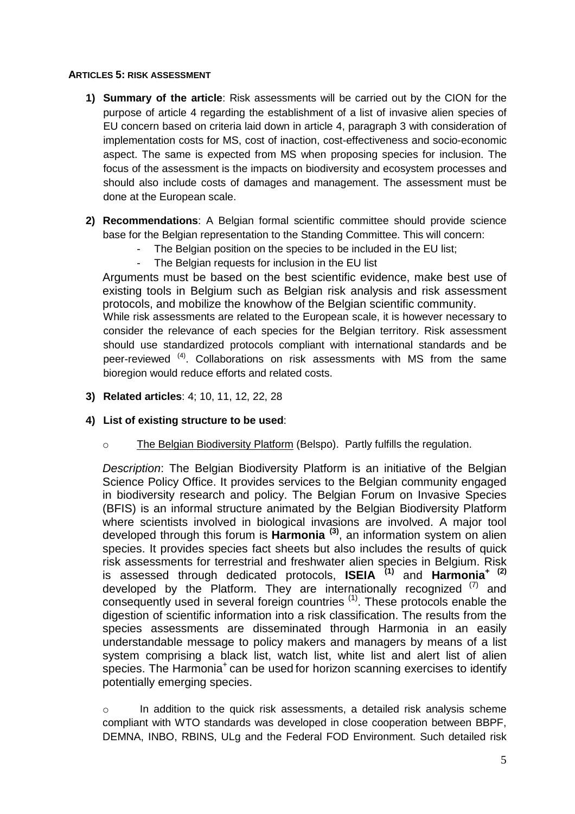#### **ARTICLES 5: RISK ASSESSMENT**

- **1) Summary of the article**: Risk assessments will be carried out by the CION for the purpose of article 4 regarding the establishment of a list of invasive alien species of EU concern based on criteria laid down in article 4, paragraph 3 with consideration of implementation costs for MS, cost of inaction, cost-effectiveness and socio-economic aspect. The same is expected from MS when proposing species for inclusion. The focus of the assessment is the impacts on biodiversity and ecosystem processes and should also include costs of damages and management. The assessment must be done at the European scale.
- **2) Recommendations**: A Belgian formal scientific committee should provide science base for the Belgian representation to the Standing Committee. This will concern:
	- The Belgian position on the species to be included in the EU list;
	- The Belgian requests for inclusion in the EU list

Arguments must be based on the best scientific evidence, make best use of existing tools in Belgium such as Belgian risk analysis and risk assessment protocols, and mobilize the knowhow of the Belgian scientific community.

While risk assessments are related to the European scale, it is however necessary to consider the relevance of each species for the Belgian territory. Risk assessment should use standardized protocols compliant with international standards and be peer-reviewed <sup>(4)</sup>. Collaborations on risk assessments with MS from the same bioregion would reduce efforts and related costs.

**3) Related articles**: 4; 10, 11, 12, 22, 28

#### **4) List of existing structure to be used**:

o The Belgian Biodiversity Platform (Belspo). Partly fulfills the regulation.

*Description*: The Belgian Biodiversity Platform is an initiative of the Belgian Science Policy Office. It provides services to the Belgian community engaged in biodiversity research and policy. The Belgian Forum on Invasive Species (BFIS) is an informal structure animated by the Belgian Biodiversity Platform where scientists involved in biological invasions are involved. A major tool developed through this forum is **Harmonia (3)** , an information system on alien species. It provides species fact sheets but also includes the results of quick risk assessments for terrestrial and freshwater alien species in Belgium. Risk is assessed through dedicated protocols, **ISEIA (1)** and **Harmonia<sup>+</sup> (2)** developed by the Platform. They are internationally recognized  $(7)$  and consequently used in several foreign countries <sup>(1)</sup>. These protocols enable the digestion of scientific information into a risk classification. The results from the species assessments are disseminated through Harmonia in an easily understandable message to policy makers and managers by means of a list system comprising a black list, watch list, white list and alert list of alien species. The Harmonia<sup>+</sup> can be used for horizon scanning exercises to identify potentially emerging species.

o In addition to the quick risk assessments, a detailed risk analysis scheme compliant with WTO standards was developed in close cooperation between BBPF, DEMNA, INBO, RBINS, ULg and the Federal FOD Environment. Such detailed risk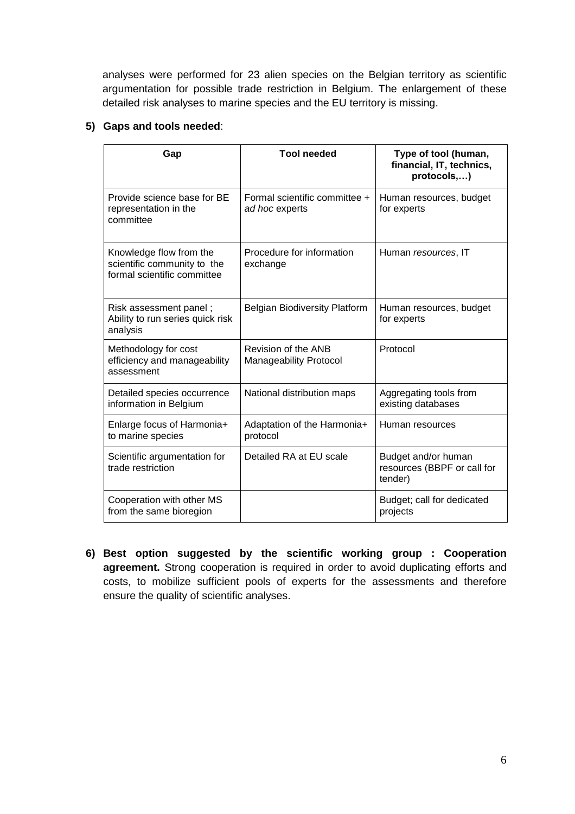analyses were performed for 23 alien species on the Belgian territory as scientific argumentation for possible trade restriction in Belgium. The enlargement of these detailed risk analyses to marine species and the EU territory is missing.

#### **5) Gaps and tools needed**:

| Gap                                                                                   | <b>Tool needed</b>                                   | Type of tool (human,<br>financial, IT, technics,<br>protocols,) |
|---------------------------------------------------------------------------------------|------------------------------------------------------|-----------------------------------------------------------------|
| Provide science base for BE<br>representation in the<br>committee                     | Formal scientific committee +<br>ad hoc experts      | Human resources, budget<br>for experts                          |
| Knowledge flow from the<br>scientific community to the<br>formal scientific committee | Procedure for information<br>exchange                | Human resources, IT                                             |
| Risk assessment panel;<br>Ability to run series quick risk<br>analysis                | <b>Belgian Biodiversity Platform</b>                 | Human resources, budget<br>for experts                          |
| Methodology for cost<br>efficiency and manageability<br>assessment                    | Revision of the ANB<br><b>Manageability Protocol</b> | Protocol                                                        |
| Detailed species occurrence<br>information in Belgium                                 | National distribution maps                           | Aggregating tools from<br>existing databases                    |
| Enlarge focus of Harmonia+<br>to marine species                                       | Adaptation of the Harmonia+<br>protocol              | Human resources                                                 |
| Scientific argumentation for<br>trade restriction                                     | Detailed RA at EU scale                              | Budget and/or human<br>resources (BBPF or call for<br>tender)   |
| Cooperation with other MS<br>from the same bioregion                                  |                                                      | Budget; call for dedicated<br>projects                          |

**6) Best option suggested by the scientific working group : Cooperation agreement.** Strong cooperation is required in order to avoid duplicating efforts and costs, to mobilize sufficient pools of experts for the assessments and therefore ensure the quality of scientific analyses.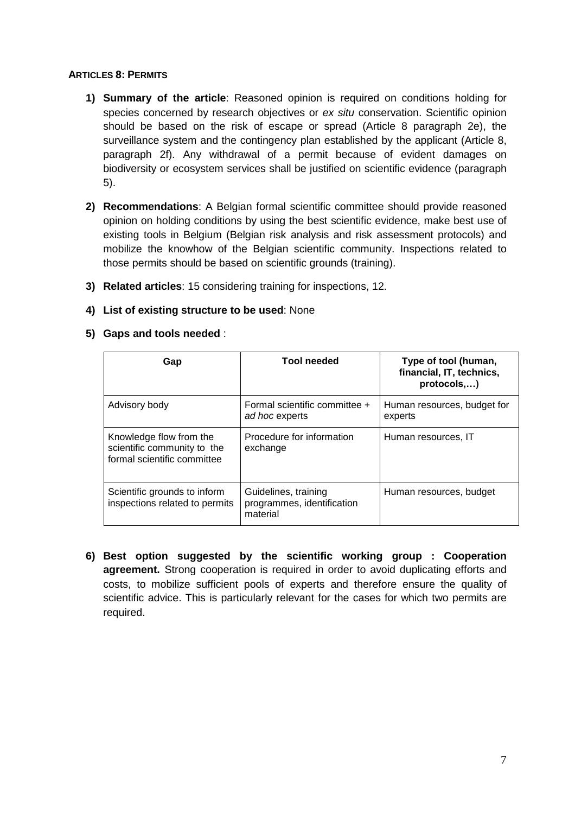#### **ARTICLES 8: PERMITS**

- **1) Summary of the article**: Reasoned opinion is required on conditions holding for species concerned by research objectives or *ex situ* conservation. Scientific opinion should be based on the risk of escape or spread (Article 8 paragraph 2e), the surveillance system and the contingency plan established by the applicant (Article 8, paragraph 2f). Any withdrawal of a permit because of evident damages on biodiversity or ecosystem services shall be justified on scientific evidence (paragraph 5).
- **2) Recommendations**: A Belgian formal scientific committee should provide reasoned opinion on holding conditions by using the best scientific evidence, make best use of existing tools in Belgium (Belgian risk analysis and risk assessment protocols) and mobilize the knowhow of the Belgian scientific community. Inspections related to those permits should be based on scientific grounds (training).
- **3) Related articles**: 15 considering training for inspections, 12.
- **4) List of existing structure to be used**: None
- **5) Gaps and tools needed** :

| Gap                                                                                   | <b>Tool needed</b>                                             | Type of tool (human,<br>financial, IT, technics,<br>protocols,) |
|---------------------------------------------------------------------------------------|----------------------------------------------------------------|-----------------------------------------------------------------|
| Advisory body                                                                         | Formal scientific committee +<br>ad hoc experts                | Human resources, budget for<br>experts                          |
| Knowledge flow from the<br>scientific community to the<br>formal scientific committee | Procedure for information<br>exchange                          | Human resources, IT                                             |
| Scientific grounds to inform<br>inspections related to permits                        | Guidelines, training<br>programmes, identification<br>material | Human resources, budget                                         |

**6) Best option suggested by the scientific working group : Cooperation agreement.** Strong cooperation is required in order to avoid duplicating efforts and costs, to mobilize sufficient pools of experts and therefore ensure the quality of scientific advice. This is particularly relevant for the cases for which two permits are required.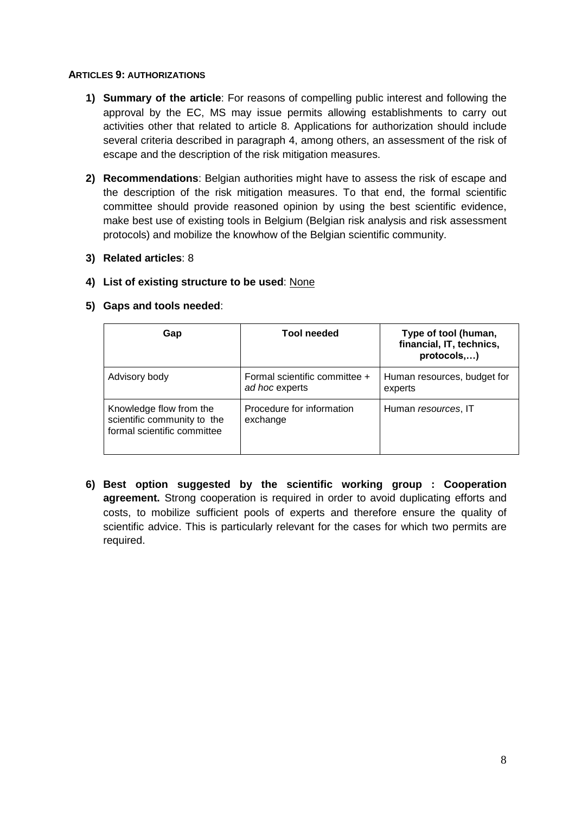#### **ARTICLES 9: AUTHORIZATIONS**

- **1) Summary of the article**: For reasons of compelling public interest and following the approval by the EC, MS may issue permits allowing establishments to carry out activities other that related to article 8. Applications for authorization should include several criteria described in paragraph 4, among others, an assessment of the risk of escape and the description of the risk mitigation measures.
- **2) Recommendations**: Belgian authorities might have to assess the risk of escape and the description of the risk mitigation measures. To that end, the formal scientific committee should provide reasoned opinion by using the best scientific evidence, make best use of existing tools in Belgium (Belgian risk analysis and risk assessment protocols) and mobilize the knowhow of the Belgian scientific community.
- **3) Related articles**: 8

#### **4) List of existing structure to be used**: None

#### **5) Gaps and tools needed**:

| Gap                                                                                   | <b>Tool needed</b>                              | Type of tool (human,<br>financial, IT, technics,<br>protocols,) |
|---------------------------------------------------------------------------------------|-------------------------------------------------|-----------------------------------------------------------------|
| Advisory body                                                                         | Formal scientific committee +<br>ad hoc experts | Human resources, budget for<br>experts                          |
| Knowledge flow from the<br>scientific community to the<br>formal scientific committee | Procedure for information<br>exchange           | Human resources, IT                                             |

**6) Best option suggested by the scientific working group : Cooperation agreement.** Strong cooperation is required in order to avoid duplicating efforts and costs, to mobilize sufficient pools of experts and therefore ensure the quality of scientific advice. This is particularly relevant for the cases for which two permits are required.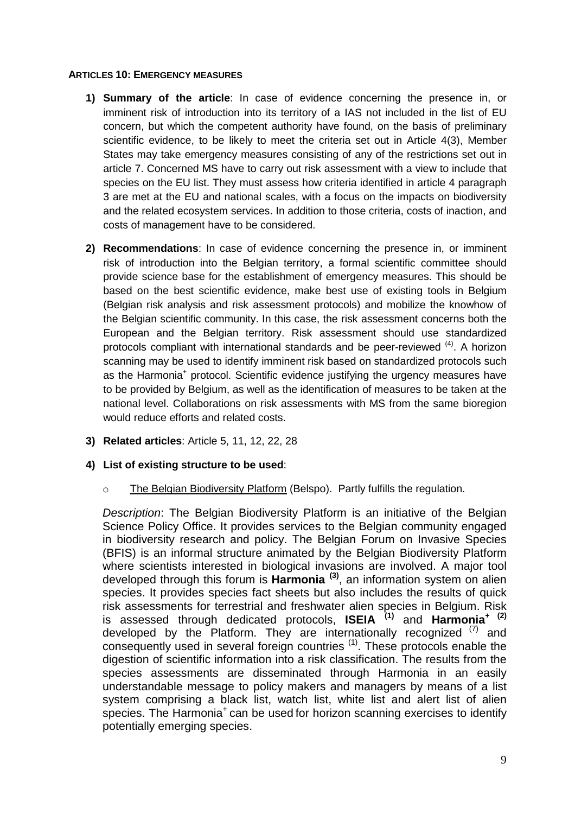#### **ARTICLES 10: EMERGENCY MEASURES**

- **1) Summary of the article**: In case of evidence concerning the presence in, or imminent risk of introduction into its territory of a IAS not included in the list of EU concern, but which the competent authority have found, on the basis of preliminary scientific evidence, to be likely to meet the criteria set out in Article 4(3), Member States may take emergency measures consisting of any of the restrictions set out in article 7. Concerned MS have to carry out risk assessment with a view to include that species on the EU list. They must assess how criteria identified in article 4 paragraph 3 are met at the EU and national scales, with a focus on the impacts on biodiversity and the related ecosystem services. In addition to those criteria, costs of inaction, and costs of management have to be considered.
- **2) Recommendations**: In case of evidence concerning the presence in, or imminent risk of introduction into the Belgian territory, a formal scientific committee should provide science base for the establishment of emergency measures. This should be based on the best scientific evidence, make best use of existing tools in Belgium (Belgian risk analysis and risk assessment protocols) and mobilize the knowhow of the Belgian scientific community. In this case, the risk assessment concerns both the European and the Belgian territory. Risk assessment should use standardized protocols compliant with international standards and be peer-reviewed <sup>(4)</sup>. A horizon scanning may be used to identify imminent risk based on standardized protocols such as the Harmonia<sup>+</sup> protocol. Scientific evidence justifying the urgency measures have to be provided by Belgium, as well as the identification of measures to be taken at the national level. Collaborations on risk assessments with MS from the same bioregion would reduce efforts and related costs.
- **3) Related articles**: Article 5, 11, 12, 22, 28

#### **4) List of existing structure to be used**:

o The Belgian Biodiversity Platform (Belspo). Partly fulfills the regulation.

*Description*: The Belgian Biodiversity Platform is an initiative of the Belgian Science Policy Office. It provides services to the Belgian community engaged in biodiversity research and policy. The Belgian Forum on Invasive Species (BFIS) is an informal structure animated by the Belgian Biodiversity Platform where scientists interested in biological invasions are involved. A major tool developed through this forum is **Harmonia (3)** , an information system on alien species. It provides species fact sheets but also includes the results of quick risk assessments for terrestrial and freshwater alien species in Belgium. Risk is assessed through dedicated protocols, **ISEIA (1)** and **Harmonia<sup>+</sup> (2)** developed by the Platform. They are internationally recognized  $(7)$  and consequently used in several foreign countries <sup>(1)</sup>. These protocols enable the digestion of scientific information into a risk classification. The results from the species assessments are disseminated through Harmonia in an easily understandable message to policy makers and managers by means of a list system comprising a black list, watch list, white list and alert list of alien species. The Harmonia<sup>+</sup> can be used for horizon scanning exercises to identify potentially emerging species.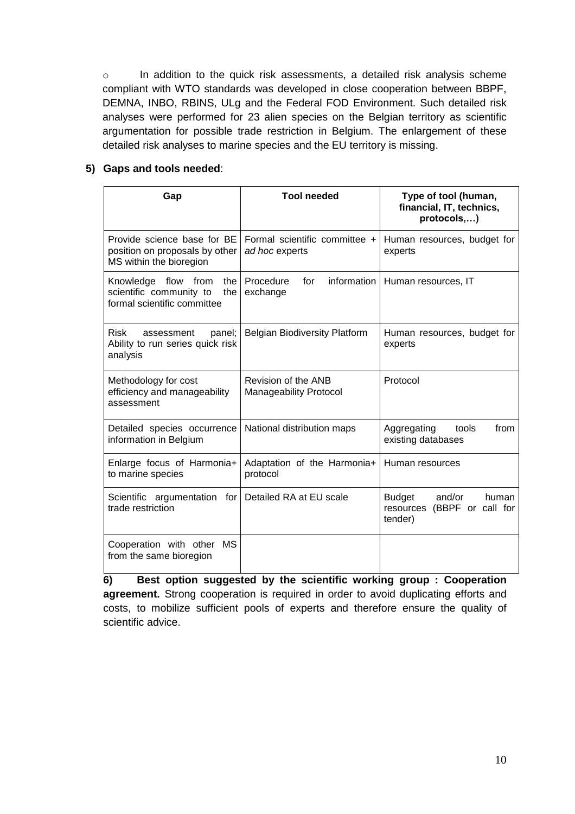o In addition to the quick risk assessments, a detailed risk analysis scheme compliant with WTO standards was developed in close cooperation between BBPF, DEMNA, INBO, RBINS, ULg and the Federal FOD Environment. Such detailed risk analyses were performed for 23 alien species on the Belgian territory as scientific argumentation for possible trade restriction in Belgium. The enlargement of these detailed risk analyses to marine species and the EU territory is missing.

#### **5) Gaps and tools needed**:

| Gap                                                                                         | <b>Tool needed</b>                                   | Type of tool (human,<br>financial, IT, technics,<br>protocols,)               |
|---------------------------------------------------------------------------------------------|------------------------------------------------------|-------------------------------------------------------------------------------|
| Provide science base for BE<br>position on proposals by other<br>MS within the bioregion    | Formal scientific committee +<br>ad hoc experts      | Human resources, budget for<br>experts                                        |
| Knowledge flow from<br>the<br>scientific community to<br>the<br>formal scientific committee | Procedure<br>information I<br>for<br>exchange        | Human resources, IT                                                           |
| <b>Risk</b><br>panel;<br>assessment<br>Ability to run series quick risk<br>analysis         | <b>Belgian Biodiversity Platform</b>                 | Human resources, budget for<br>experts                                        |
| Methodology for cost<br>efficiency and manageability<br>assessment                          | Revision of the ANB<br><b>Manageability Protocol</b> | Protocol                                                                      |
| Detailed species occurrence<br>information in Belgium                                       | National distribution maps                           | Aggregating<br>from<br>tools<br>existing databases                            |
| Enlarge focus of Harmonia+<br>to marine species                                             | Adaptation of the Harmonia+<br>protocol              | Human resources                                                               |
| Scientific argumentation for<br>trade restriction                                           | Detailed RA at EU scale                              | and/or<br><b>Budget</b><br>human<br>resources<br>(BBPF or call for<br>tender) |
| Cooperation with other MS<br>from the same bioregion                                        |                                                      |                                                                               |

**6) Best option suggested by the scientific working group : Cooperation agreement.** Strong cooperation is required in order to avoid duplicating efforts and costs, to mobilize sufficient pools of experts and therefore ensure the quality of scientific advice.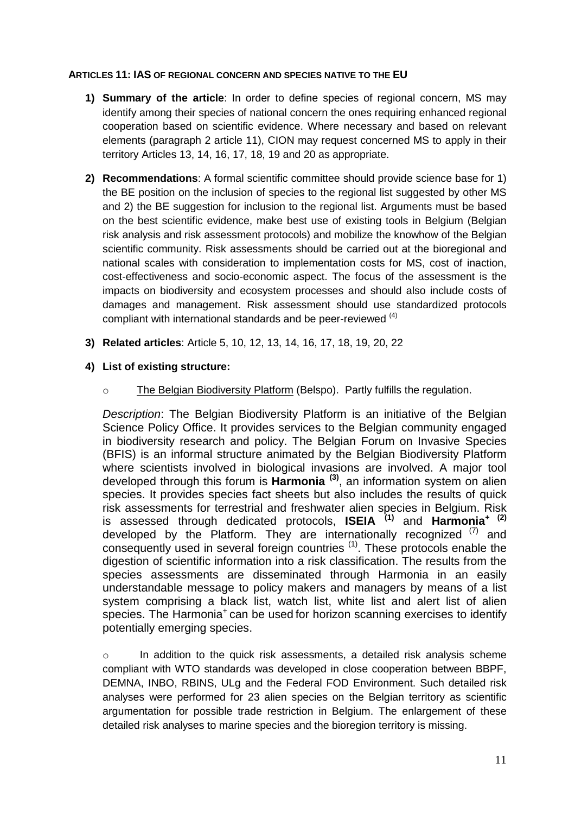#### **ARTICLES 11: IAS OF REGIONAL CONCERN AND SPECIES NATIVE TO THE EU**

- **1) Summary of the article**: In order to define species of regional concern, MS may identify among their species of national concern the ones requiring enhanced regional cooperation based on scientific evidence. Where necessary and based on relevant elements (paragraph 2 article 11), CION may request concerned MS to apply in their territory Articles 13, 14, 16, 17, 18, 19 and 20 as appropriate.
- **2) Recommendations**: A formal scientific committee should provide science base for 1) the BE position on the inclusion of species to the regional list suggested by other MS and 2) the BE suggestion for inclusion to the regional list. Arguments must be based on the best scientific evidence, make best use of existing tools in Belgium (Belgian risk analysis and risk assessment protocols) and mobilize the knowhow of the Belgian scientific community. Risk assessments should be carried out at the bioregional and national scales with consideration to implementation costs for MS, cost of inaction, cost-effectiveness and socio-economic aspect. The focus of the assessment is the impacts on biodiversity and ecosystem processes and should also include costs of damages and management. Risk assessment should use standardized protocols compliant with international standards and be peer-reviewed <sup>(4)</sup>
- **3) Related articles**: Article 5, 10, 12, 13, 14, 16, 17, 18, 19, 20, 22
- **4) List of existing structure:**
	- o The Belgian Biodiversity Platform (Belspo). Partly fulfills the regulation.

*Description*: The Belgian Biodiversity Platform is an initiative of the Belgian Science Policy Office. It provides services to the Belgian community engaged in biodiversity research and policy. The Belgian Forum on Invasive Species (BFIS) is an informal structure animated by the Belgian Biodiversity Platform where scientists involved in biological invasions are involved. A major tool developed through this forum is **Harmonia (3)** , an information system on alien species. It provides species fact sheets but also includes the results of quick risk assessments for terrestrial and freshwater alien species in Belgium. Risk is assessed through dedicated protocols, **ISEIA (1)** and **Harmonia<sup>+</sup> (2)** developed by the Platform. They are internationally recognized  $(7)$  and consequently used in several foreign countries <sup>(1)</sup>. These protocols enable the digestion of scientific information into a risk classification. The results from the species assessments are disseminated through Harmonia in an easily understandable message to policy makers and managers by means of a list system comprising a black list, watch list, white list and alert list of alien species. The Harmonia<sup>+</sup> can be used for horizon scanning exercises to identify potentially emerging species.

o In addition to the quick risk assessments, a detailed risk analysis scheme compliant with WTO standards was developed in close cooperation between BBPF, DEMNA, INBO, RBINS, ULg and the Federal FOD Environment. Such detailed risk analyses were performed for 23 alien species on the Belgian territory as scientific argumentation for possible trade restriction in Belgium. The enlargement of these detailed risk analyses to marine species and the bioregion territory is missing.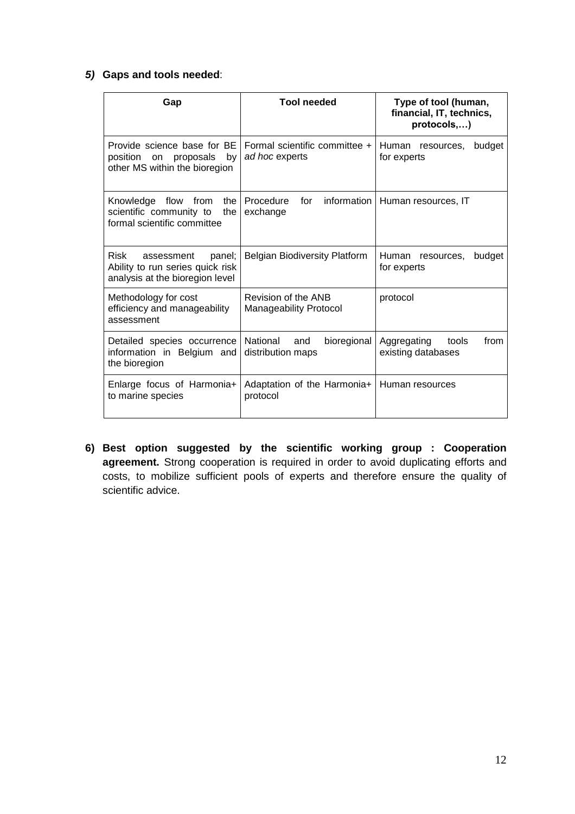#### *5)* **Gaps and tools needed**:

| Gap                                                                                                 | <b>Tool needed</b>                                   | Type of tool (human,<br>financial, IT, technics,<br>protocols,) |
|-----------------------------------------------------------------------------------------------------|------------------------------------------------------|-----------------------------------------------------------------|
| Provide science base for BE<br>position<br>proposals<br>by<br>on.<br>other MS within the bioregion  | Formal scientific committee +<br>ad hoc experts      | Human resources,<br>budget<br>for experts                       |
| Knowledge flow from<br>the<br>scientific community to<br>the<br>formal scientific committee         | Procedure<br>for<br>information<br>exchange          | Human resources, IT                                             |
| Risk<br>panel;<br>assessment<br>Ability to run series quick risk<br>analysis at the bioregion level | <b>Belgian Biodiversity Platform</b>                 | Human<br>budget<br>resources.<br>for experts                    |
| Methodology for cost<br>efficiency and manageability<br>assessment                                  | Revision of the ANB<br><b>Manageability Protocol</b> | protocol                                                        |
| Detailed species occurrence<br>information in Belgium and<br>the bioregion                          | National<br>and<br>bioregional<br>distribution maps  | Aggregating<br>tools<br>from<br>existing databases              |
| Enlarge focus of Harmonia+<br>to marine species                                                     | Adaptation of the Harmonia+<br>protocol              | Human resources                                                 |

**6) Best option suggested by the scientific working group : Cooperation agreement.** Strong cooperation is required in order to avoid duplicating efforts and costs, to mobilize sufficient pools of experts and therefore ensure the quality of scientific advice.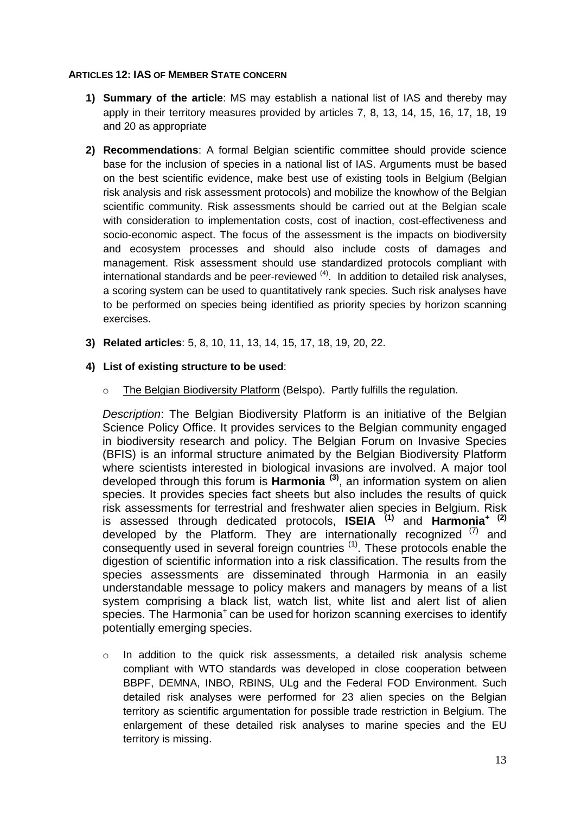#### **ARTICLES 12: IAS OF MEMBER STATE CONCERN**

- **1) Summary of the article**: MS may establish a national list of IAS and thereby may apply in their territory measures provided by articles 7, 8, 13, 14, 15, 16, 17, 18, 19 and 20 as appropriate
- **2) Recommendations**: A formal Belgian scientific committee should provide science base for the inclusion of species in a national list of IAS. Arguments must be based on the best scientific evidence, make best use of existing tools in Belgium (Belgian risk analysis and risk assessment protocols) and mobilize the knowhow of the Belgian scientific community. Risk assessments should be carried out at the Belgian scale with consideration to implementation costs, cost of inaction, cost-effectiveness and socio-economic aspect. The focus of the assessment is the impacts on biodiversity and ecosystem processes and should also include costs of damages and management. Risk assessment should use standardized protocols compliant with international standards and be peer-reviewed <sup>(4)</sup>. In addition to detailed risk analyses, a scoring system can be used to quantitatively rank species. Such risk analyses have to be performed on species being identified as priority species by horizon scanning exercises.
- **3) Related articles**: 5, 8, 10, 11, 13, 14, 15, 17, 18, 19, 20, 22.

#### **4) List of existing structure to be used**:

o The Belgian Biodiversity Platform (Belspo). Partly fulfills the regulation.

*Description*: The Belgian Biodiversity Platform is an initiative of the Belgian Science Policy Office. It provides services to the Belgian community engaged in biodiversity research and policy. The Belgian Forum on Invasive Species (BFIS) is an informal structure animated by the Belgian Biodiversity Platform where scientists interested in biological invasions are involved. A major tool developed through this forum is **Harmonia (3)** , an information system on alien species. It provides species fact sheets but also includes the results of quick risk assessments for terrestrial and freshwater alien species in Belgium. Risk is assessed through dedicated protocols, **ISEIA (1)** and **Harmonia<sup>+</sup> (2)** developed by the Platform. They are internationally recognized  $(7)$  and consequently used in several foreign countries <sup>(1)</sup>. These protocols enable the digestion of scientific information into a risk classification. The results from the species assessments are disseminated through Harmonia in an easily understandable message to policy makers and managers by means of a list system comprising a black list, watch list, white list and alert list of alien species. The Harmonia<sup>+</sup> can be used for horizon scanning exercises to identify potentially emerging species.

 $\circ$  In addition to the quick risk assessments, a detailed risk analysis scheme compliant with WTO standards was developed in close cooperation between BBPF, DEMNA, INBO, RBINS, ULg and the Federal FOD Environment. Such detailed risk analyses were performed for 23 alien species on the Belgian territory as scientific argumentation for possible trade restriction in Belgium. The enlargement of these detailed risk analyses to marine species and the EU territory is missing.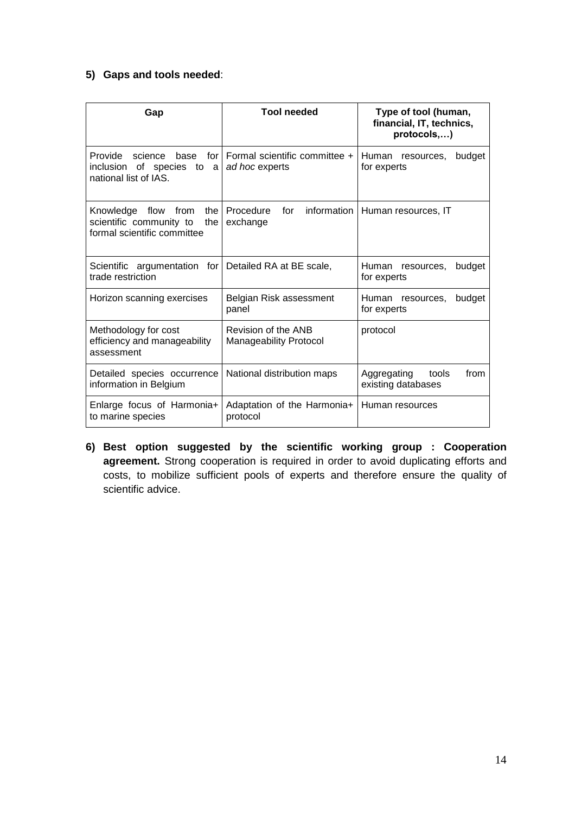## **5) Gaps and tools needed**:

| Gap                                                                                         | <b>Tool needed</b>                                   | Type of tool (human,<br>financial, IT, technics,<br>protocols,) |
|---------------------------------------------------------------------------------------------|------------------------------------------------------|-----------------------------------------------------------------|
| Provide<br>science<br>base<br>for.<br>inclusion of species to a<br>national list of IAS.    | Formal scientific committee +<br>ad hoc experts      | Human resources,<br>budget<br>for experts                       |
| Knowledge flow from<br>the<br>scientific community to<br>the<br>formal scientific committee | Procedure<br>for information<br>exchange             | Human resources, IT                                             |
| Scientific argumentation for Detailed RA at BE scale,<br>trade restriction                  |                                                      | Human resources,<br>budget<br>for experts                       |
| Horizon scanning exercises                                                                  | Belgian Risk assessment<br>panel                     | Human resources,<br>budget<br>for experts                       |
| Methodology for cost<br>efficiency and manageability<br>assessment                          | Revision of the ANB<br><b>Manageability Protocol</b> | protocol                                                        |
| Detailed species occurrence<br>information in Belgium                                       | National distribution maps                           | from<br>Aggregating<br>tools<br>existing databases              |
| Enlarge focus of Harmonia+<br>to marine species                                             | Adaptation of the Harmonia+<br>protocol              | Human resources                                                 |

**6) Best option suggested by the scientific working group : Cooperation agreement.** Strong cooperation is required in order to avoid duplicating efforts and costs, to mobilize sufficient pools of experts and therefore ensure the quality of scientific advice.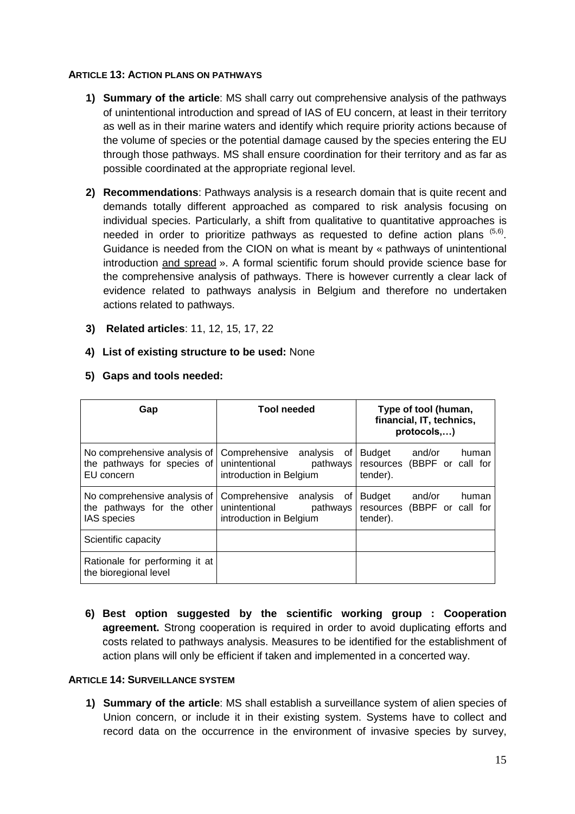#### **ARTICLE 13: ACTION PLANS ON PATHWAYS**

- **1) Summary of the article**: MS shall carry out comprehensive analysis of the pathways of unintentional introduction and spread of IAS of EU concern, at least in their territory as well as in their marine waters and identify which require priority actions because of the volume of species or the potential damage caused by the species entering the EU through those pathways. MS shall ensure coordination for their territory and as far as possible coordinated at the appropriate regional level.
- **2) Recommendations**: Pathways analysis is a research domain that is quite recent and demands totally different approached as compared to risk analysis focusing on individual species. Particularly, a shift from qualitative to quantitative approaches is needed in order to prioritize pathways as requested to define action plans  $(5,6)$ . Guidance is needed from the CION on what is meant by « pathways of unintentional introduction and spread ». A formal scientific forum should provide science base for the comprehensive analysis of pathways. There is however currently a clear lack of evidence related to pathways analysis in Belgium and therefore no undertaken actions related to pathways.
- **3) Related articles**: 11, 12, 15, 17, 22
- **4) List of existing structure to be used:** None

| Gap                                                                              | <b>Tool needed</b>                                                                      | Type of tool (human,<br>financial, IT, technics,<br>protocols,)   |
|----------------------------------------------------------------------------------|-----------------------------------------------------------------------------------------|-------------------------------------------------------------------|
| No comprehensive analysis of<br>the pathways for species of<br>EU concern        | Comprehensive analysis of<br>unintentional<br>pathways<br>introduction in Belgium       | Budget and/or<br>human<br>resources (BBPF or call for<br>tender). |
| No comprehensive analysis of<br>the pathways for the other<br><b>IAS</b> species | Comprehensive<br>analysis<br>0f<br>unintentional<br>pathways<br>introduction in Belgium | Budget and/or<br>human<br>resources (BBPF or call for<br>tender). |
| Scientific capacity                                                              |                                                                                         |                                                                   |
| Rationale for performing it at<br>the bioregional level                          |                                                                                         |                                                                   |

#### **5) Gaps and tools needed:**

**6) Best option suggested by the scientific working group : Cooperation agreement.** Strong cooperation is required in order to avoid duplicating efforts and costs related to pathways analysis. Measures to be identified for the establishment of action plans will only be efficient if taken and implemented in a concerted way.

#### **ARTICLE 14: SURVEILLANCE SYSTEM**

**1) Summary of the article**: MS shall establish a surveillance system of alien species of Union concern, or include it in their existing system. Systems have to collect and record data on the occurrence in the environment of invasive species by survey,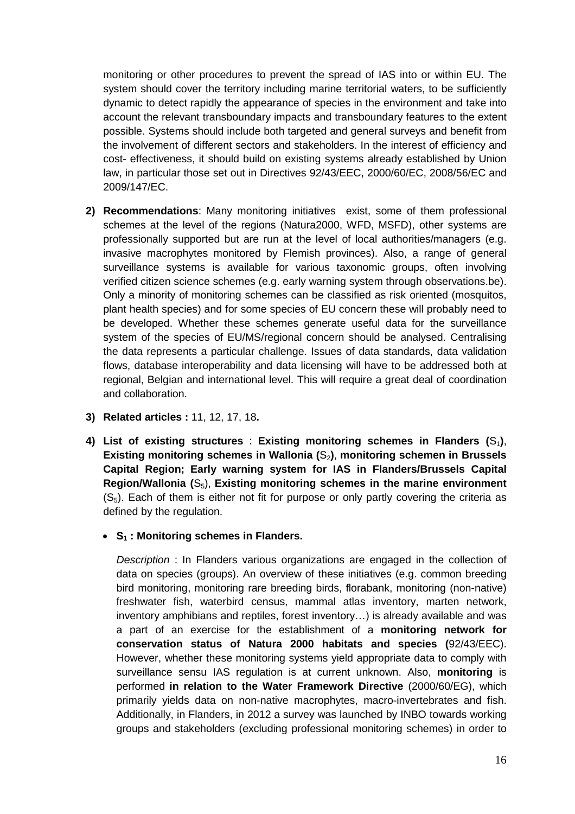monitoring or other procedures to prevent the spread of IAS into or within EU. The system should cover the territory including marine territorial waters, to be sufficiently dynamic to detect rapidly the appearance of species in the environment and take into account the relevant transboundary impacts and transboundary features to the extent possible. Systems should include both targeted and general surveys and benefit from the involvement of different sectors and stakeholders. In the interest of efficiency and cost- effectiveness, it should build on existing systems already established by Union law, in particular those set out in Directives 92/43/EEC, 2000/60/EC, 2008/56/EC and 2009/147/EC.

- **2) Recommendations**: Many monitoring initiatives exist, some of them professional schemes at the level of the regions (Natura2000, WFD, MSFD), other systems are professionally supported but are run at the level of local authorities/managers (e.g. invasive macrophytes monitored by Flemish provinces). Also, a range of general surveillance systems is available for various taxonomic groups, often involving verified citizen science schemes (e.g. early warning system through observations.be). Only a minority of monitoring schemes can be classified as risk oriented (mosquitos, plant health species) and for some species of EU concern these will probably need to be developed. Whether these schemes generate useful data for the surveillance system of the species of EU/MS/regional concern should be analysed. Centralising the data represents a particular challenge. Issues of data standards, data validation flows, database interoperability and data licensing will have to be addressed both at regional, Belgian and international level. This will require a great deal of coordination and collaboration.
- **3) Related articles :** 11, 12, 17, 18**.**
- **4)** List of existing structures : Existing monitoring schemes in Flanders  $(S_1)$ , **Existing monitoring schemes in Wallonia (**S2**)**, **monitoring schemen in Brussels Capital Region; Early warning system for IAS in Flanders/Brussels Capital Region/Wallonia (**S5), **Existing monitoring schemes in the marine environment**  $(S<sub>5</sub>)$ . Each of them is either not fit for purpose or only partly covering the criteria as defined by the regulation.
	- **S<sup>1</sup> : Monitoring schemes in Flanders.**

*Description* : In Flanders various organizations are engaged in the collection of data on species (groups). An overview of these initiatives (e.g. common breeding bird monitoring, monitoring rare breeding birds, florabank, monitoring (non-native) freshwater fish, waterbird census, mammal atlas inventory, marten network, inventory amphibians and reptiles, forest inventory…) is already available and was a part of an exercise for the establishment of a **monitoring network for conservation status of Natura 2000 habitats and species (**92/43/EEC). However, whether these monitoring systems yield appropriate data to comply with surveillance sensu IAS regulation is at current unknown. Also, **monitoring** is performed **in relation to the Water Framework Directive** (2000/60/EG), which primarily yields data on non-native macrophytes, macro-invertebrates and fish. Additionally, in Flanders, in 2012 a survey was launched by INBO towards working groups and stakeholders (excluding professional monitoring schemes) in order to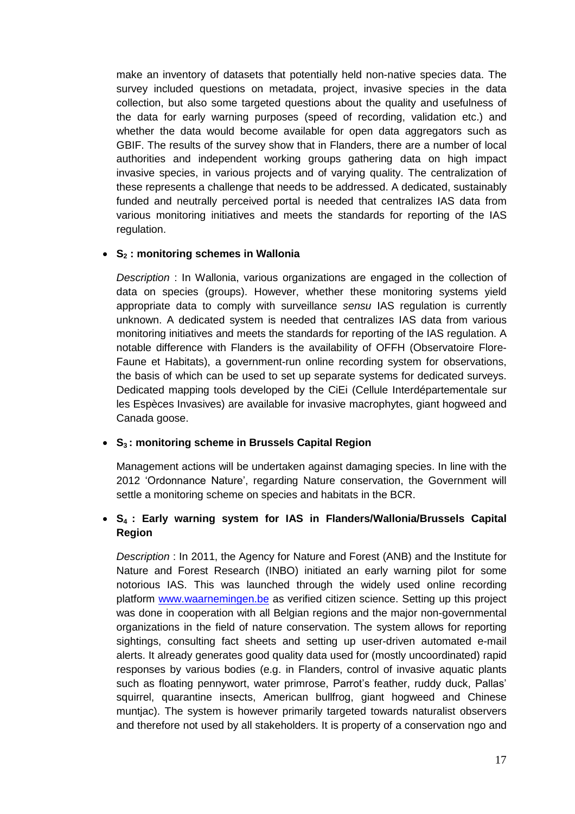make an inventory of datasets that potentially held non-native species data. The survey included questions on metadata, project, invasive species in the data collection, but also some targeted questions about the quality and usefulness of the data for early warning purposes (speed of recording, validation etc.) and whether the data would become available for open data aggregators such as GBIF. The results of the survey show that in Flanders, there are a number of local authorities and independent working groups gathering data on high impact invasive species, in various projects and of varying quality. The centralization of these represents a challenge that needs to be addressed. A dedicated, sustainably funded and neutrally perceived portal is needed that centralizes IAS data from various monitoring initiatives and meets the standards for reporting of the IAS regulation.

#### **S<sup>2</sup> : monitoring schemes in Wallonia**

*Description* : In Wallonia, various organizations are engaged in the collection of data on species (groups). However, whether these monitoring systems yield appropriate data to comply with surveillance *sensu* IAS regulation is currently unknown. A dedicated system is needed that centralizes IAS data from various monitoring initiatives and meets the standards for reporting of the IAS regulation. A notable difference with Flanders is the availability of OFFH (Observatoire Flore-Faune et Habitats), a government-run online recording system for observations, the basis of which can be used to set up separate systems for dedicated surveys. Dedicated mapping tools developed by the CiEi (Cellule Interdépartementale sur les Espèces Invasives) are available for invasive macrophytes, giant hogweed and Canada goose.

#### **S<sup>3</sup> : monitoring scheme in Brussels Capital Region**

Management actions will be undertaken against damaging species. In line with the 2012 'Ordonnance Nature', regarding Nature conservation, the Government will settle a monitoring scheme on species and habitats in the BCR.

#### **S<sup>4</sup> : Early warning system for IAS in Flanders/Wallonia/Brussels Capital Region**

*Description* : In 2011, the Agency for Nature and Forest (ANB) and the Institute for Nature and Forest Research (INBO) initiated an early warning pilot for some notorious IAS. This was launched through the widely used online recording platform [www.waarnemingen.be](http://www.waarnemingen.be/) as verified citizen science. Setting up this project was done in cooperation with all Belgian regions and the major non-governmental organizations in the field of nature conservation. The system allows for reporting sightings, consulting fact sheets and setting up user-driven automated e-mail alerts. It already generates good quality data used for (mostly uncoordinated) rapid responses by various bodies (e.g. in Flanders, control of invasive aquatic plants such as floating pennywort, water primrose, Parrot's feather, ruddy duck, Pallas' squirrel, quarantine insects, American bullfrog, giant hogweed and Chinese muntjac). The system is however primarily targeted towards naturalist observers and therefore not used by all stakeholders. It is property of a conservation ngo and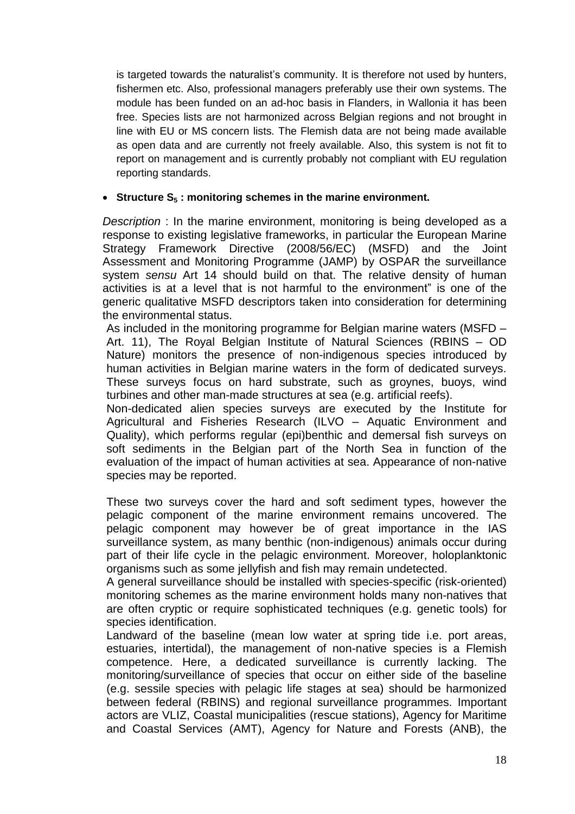is targeted towards the naturalist's community. It is therefore not used by hunters, fishermen etc. Also, professional managers preferably use their own systems. The module has been funded on an ad-hoc basis in Flanders, in Wallonia it has been free. Species lists are not harmonized across Belgian regions and not brought in line with EU or MS concern lists. The Flemish data are not being made available as open data and are currently not freely available. Also, this system is not fit to report on management and is currently probably not compliant with EU regulation reporting standards.

#### **Structure S<sup>5</sup> : monitoring schemes in the marine environment.**

*Description* : In the marine environment, monitoring is being developed as a response to existing legislative frameworks, in particular the European Marine Strategy Framework Directive (2008/56/EC) (MSFD) and the Joint Assessment and Monitoring Programme (JAMP) by OSPAR the surveillance system *sensu* Art 14 should build on that. The relative density of human activities is at a level that is not harmful to the environment" is one of the generic qualitative MSFD descriptors taken into consideration for determining the environmental status.

As included in the monitoring programme for Belgian marine waters (MSFD – Art. 11), The Royal Belgian Institute of Natural Sciences (RBINS – OD Nature) monitors the presence of non-indigenous species introduced by human activities in Belgian marine waters in the form of dedicated surveys. These surveys focus on hard substrate, such as groynes, buoys, wind turbines and other man-made structures at sea (e.g. artificial reefs).

Non-dedicated alien species surveys are executed by the Institute for Agricultural and Fisheries Research (ILVO – Aquatic Environment and Quality), which performs regular (epi)benthic and demersal fish surveys on soft sediments in the Belgian part of the North Sea in function of the evaluation of the impact of human activities at sea. Appearance of non-native species may be reported.

These two surveys cover the hard and soft sediment types, however the pelagic component of the marine environment remains uncovered. The pelagic component may however be of great importance in the IAS surveillance system, as many benthic (non-indigenous) animals occur during part of their life cycle in the pelagic environment. Moreover, holoplanktonic organisms such as some jellyfish and fish may remain undetected.

A general surveillance should be installed with species-specific (risk-oriented) monitoring schemes as the marine environment holds many non-natives that are often cryptic or require sophisticated techniques (e.g. genetic tools) for species identification.

Landward of the baseline (mean low water at spring tide i.e. port areas, estuaries, intertidal), the management of non-native species is a Flemish competence. Here, a dedicated surveillance is currently lacking. The monitoring/surveillance of species that occur on either side of the baseline (e.g. sessile species with pelagic life stages at sea) should be harmonized between federal (RBINS) and regional surveillance programmes. Important actors are VLIZ, Coastal municipalities (rescue stations), Agency for Maritime and Coastal Services (AMT), Agency for Nature and Forests (ANB), the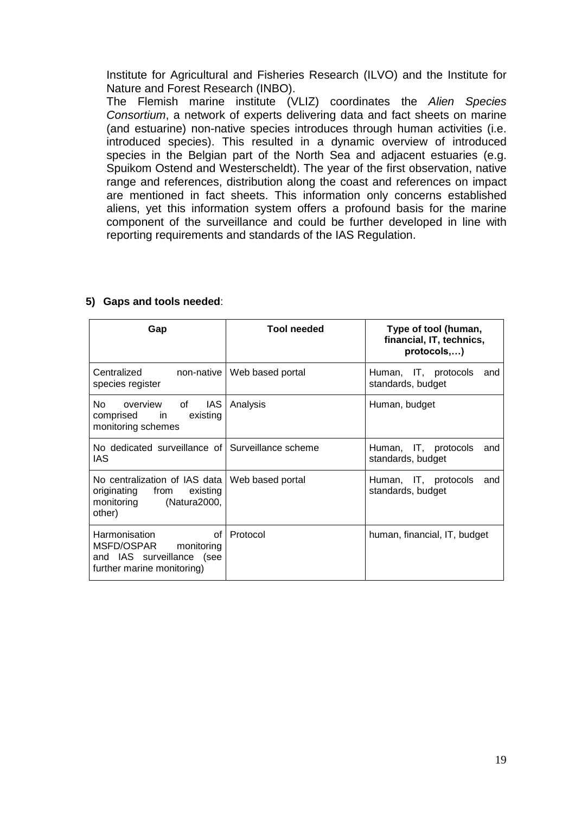Institute for Agricultural and Fisheries Research (ILVO) and the Institute for Nature and Forest Research (INBO).

The Flemish marine institute (VLIZ) coordinates the *Alien Species Consortium*, a network of experts delivering data and fact sheets on marine (and estuarine) non-native species introduces through human activities (i.e. introduced species). This resulted in a dynamic overview of introduced species in the Belgian part of the North Sea and adjacent estuaries (e.g. Spuikom Ostend and Westerscheldt). The year of the first observation, native range and references, distribution along the coast and references on impact are mentioned in fact sheets. This information only concerns established aliens, yet this information system offers a profound basis for the marine component of the surveillance and could be further developed in line with reporting requirements and standards of the IAS Regulation.

| Gap                                                                                                                                                                                          | <b>Tool needed</b>  | Type of tool (human,<br>financial, IT, technics,<br>protocols,) |
|----------------------------------------------------------------------------------------------------------------------------------------------------------------------------------------------|---------------------|-----------------------------------------------------------------|
| Centralized<br>non-native<br>species register                                                                                                                                                | Web based portal    | Human, IT, protocols<br>and<br>standards, budget                |
| No.<br>IAS.<br>overview of<br>comprised<br>existing<br>in the set of the set of the set of the set of the set of the set of the set of the set of the set of the set o<br>monitoring schemes | Analysis            | Human, budget                                                   |
| No dedicated surveillance of l<br>IAS                                                                                                                                                        | Surveillance scheme | Human, IT, protocols<br>and<br>standards, budget                |
| No centralization of IAS data   Web based portal<br>originating from<br>existing<br>(Natura2000,<br>monitoring<br>other)                                                                     |                     | Human, IT, protocols<br>and<br>standards, budget                |
| Harmonisation<br>οf<br>MSFD/OSPAR<br>monitoring<br>and IAS surveillance (see<br>further marine monitoring)                                                                                   | Protocol            | human, financial, IT, budget                                    |

#### **5) Gaps and tools needed**: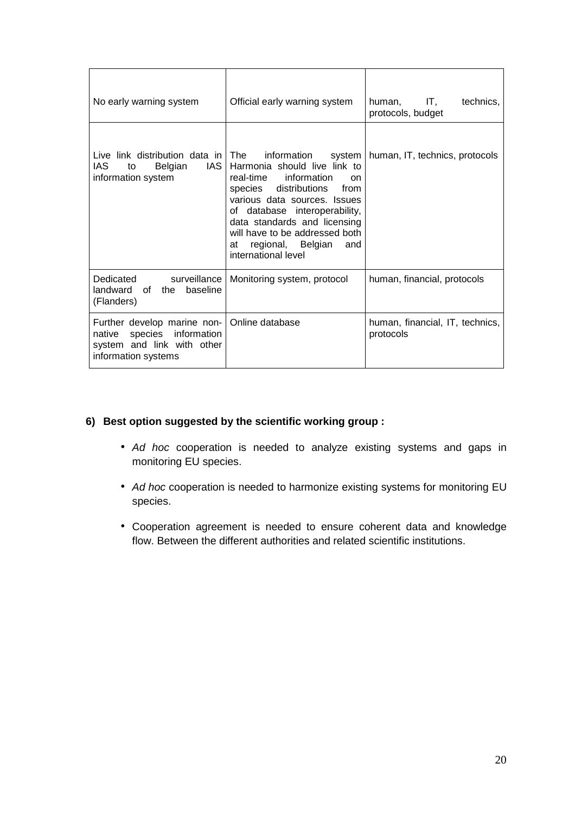| No early warning system                                                                                           | Official early warning system                                                                                                                                                                                                                                                                                             | IT,<br>human.<br>technics,<br>protocols, budget |
|-------------------------------------------------------------------------------------------------------------------|---------------------------------------------------------------------------------------------------------------------------------------------------------------------------------------------------------------------------------------------------------------------------------------------------------------------------|-------------------------------------------------|
| Live link distribution data in The<br>IAS<br>IAS I<br>Belgian<br>to<br>information system                         | information system<br>Harmonia should live link to<br>real-time information<br><sub>on</sub><br>distributions from<br>species<br>various data sources. Issues<br>of database interoperability,<br>data standards and licensing<br>will have to be addressed both<br>regional, Belgian<br>at<br>and<br>international level | human, IT, technics, protocols                  |
| Dedicated<br>surveillance l<br>landward<br>of the baseline<br>(Flanders)                                          | Monitoring system, protocol                                                                                                                                                                                                                                                                                               | human, financial, protocols                     |
| Further develop marine non-<br>species information<br>native<br>system and link with other<br>information systems | Online database                                                                                                                                                                                                                                                                                                           | human, financial, IT, technics,<br>protocols    |

#### **6) Best option suggested by the scientific working group :**

- *Ad hoc* cooperation is needed to analyze existing systems and gaps in monitoring EU species.
- *Ad hoc* cooperation is needed to harmonize existing systems for monitoring EU species.
- Cooperation agreement is needed to ensure coherent data and knowledge flow. Between the different authorities and related scientific institutions.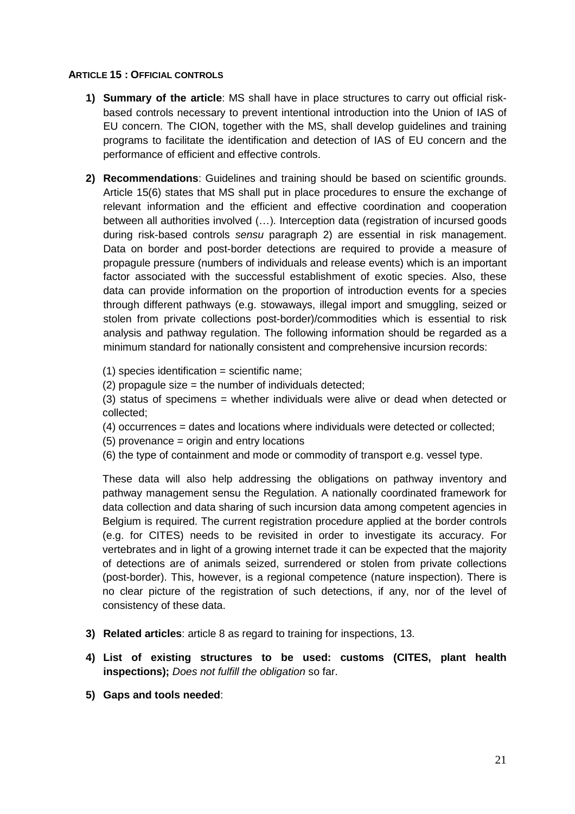#### **ARTICLE 15 : OFFICIAL CONTROLS**

- **1) Summary of the article**: MS shall have in place structures to carry out official riskbased controls necessary to prevent intentional introduction into the Union of IAS of EU concern. The CION, together with the MS, shall develop guidelines and training programs to facilitate the identification and detection of IAS of EU concern and the performance of efficient and effective controls.
- **2) Recommendations**: Guidelines and training should be based on scientific grounds. Article 15(6) states that MS shall put in place procedures to ensure the exchange of relevant information and the efficient and effective coordination and cooperation between all authorities involved (…). Interception data (registration of incursed goods during risk-based controls *sensu* paragraph 2) are essential in risk management. Data on border and post-border detections are required to provide a measure of propagule pressure (numbers of individuals and release events) which is an important factor associated with the successful establishment of exotic species. Also, these data can provide information on the proportion of introduction events for a species through different pathways (e.g. stowaways, illegal import and smuggling, seized or stolen from private collections post-border)/commodities which is essential to risk analysis and pathway regulation. The following information should be regarded as a minimum standard for nationally consistent and comprehensive incursion records:

 $(1)$  species identification = scientific name;

(2) propagule size = the number of individuals detected;

(3) status of specimens = whether individuals were alive or dead when detected or collected;

(4) occurrences = dates and locations where individuals were detected or collected;

- (5) provenance = origin and entry locations
- (6) the type of containment and mode or commodity of transport e.g. vessel type.

These data will also help addressing the obligations on pathway inventory and pathway management sensu the Regulation. A nationally coordinated framework for data collection and data sharing of such incursion data among competent agencies in Belgium is required. The current registration procedure applied at the border controls (e.g. for CITES) needs to be revisited in order to investigate its accuracy. For vertebrates and in light of a growing internet trade it can be expected that the majority of detections are of animals seized, surrendered or stolen from private collections (post-border). This, however, is a regional competence (nature inspection). There is no clear picture of the registration of such detections, if any, nor of the level of consistency of these data.

- **3) Related articles**: article 8 as regard to training for inspections, 13.
- **4) List of existing structures to be used: customs (CITES, plant health inspections);** *Does not fulfill the obligation* so far.
- **5) Gaps and tools needed**: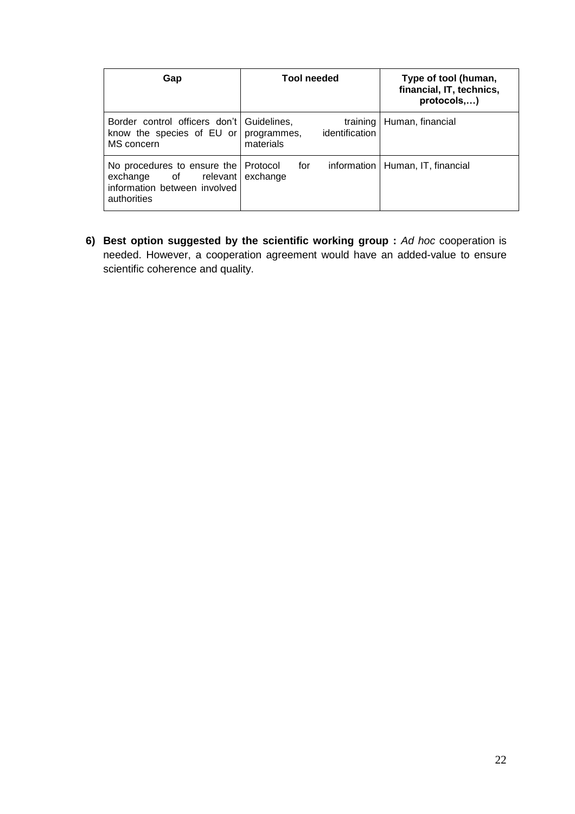| Gap                                                                                                           | <b>Tool needed</b>                                     | Type of tool (human,<br>financial, IT, technics,<br>protocols,) |
|---------------------------------------------------------------------------------------------------------------|--------------------------------------------------------|-----------------------------------------------------------------|
| Border control officers don't   Guidelines,<br>know the species of $EU$ or<br>MS concern                      | training<br>identification<br>programmes,<br>materials | Human, financial                                                |
| No procedures to ensure the   Protocol<br>exchange of relevant<br>information between involved<br>authorities | for<br>exchange                                        | information   Human, IT, financial                              |

**6) Best option suggested by the scientific working group :** *Ad hoc* cooperation is needed. However, a cooperation agreement would have an added-value to ensure scientific coherence and quality.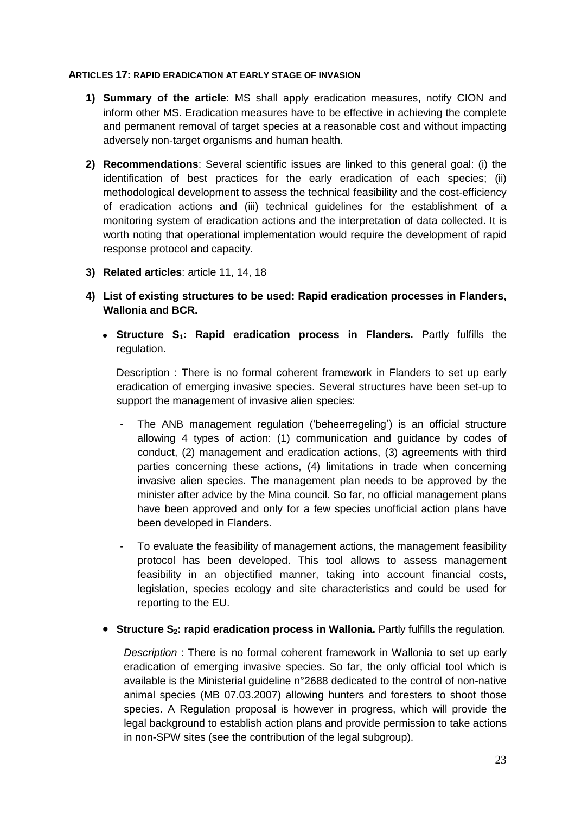#### **ARTICLES 17: RAPID ERADICATION AT EARLY STAGE OF INVASION**

- **1) Summary of the article**: MS shall apply eradication measures, notify CION and inform other MS. Eradication measures have to be effective in achieving the complete and permanent removal of target species at a reasonable cost and without impacting adversely non-target organisms and human health.
- **2) Recommendations**: Several scientific issues are linked to this general goal: (i) the identification of best practices for the early eradication of each species; (ii) methodological development to assess the technical feasibility and the cost-efficiency of eradication actions and (iii) technical guidelines for the establishment of a monitoring system of eradication actions and the interpretation of data collected. It is worth noting that operational implementation would require the development of rapid response protocol and capacity.
- **3) Related articles**: article 11, 14, 18
- **4) List of existing structures to be used: Rapid eradication processes in Flanders, Wallonia and BCR.**
	- **Structure S1: Rapid eradication process in Flanders.** Partly fulfills the regulation.

Description : There is no formal coherent framework in Flanders to set up early eradication of emerging invasive species. Several structures have been set-up to support the management of invasive alien species:

- The ANB management regulation ('beheerregeling') is an official structure allowing 4 types of action: (1) communication and guidance by codes of conduct, (2) management and eradication actions, (3) agreements with third parties concerning these actions, (4) limitations in trade when concerning invasive alien species. The management plan needs to be approved by the minister after advice by the Mina council. So far, no official management plans have been approved and only for a few species unofficial action plans have been developed in Flanders.
- To evaluate the feasibility of management actions, the management feasibility protocol has been developed. This tool allows to assess management feasibility in an objectified manner, taking into account financial costs, legislation, species ecology and site characteristics and could be used for reporting to the EU.
- **Structure S2: rapid eradication process in Wallonia.** Partly fulfills the regulation.

*Description* : There is no formal coherent framework in Wallonia to set up early eradication of emerging invasive species. So far, the only official tool which is available is the Ministerial guideline n°2688 dedicated to the control of non-native animal species (MB 07.03.2007) allowing hunters and foresters to shoot those species. A Regulation proposal is however in progress, which will provide the legal background to establish action plans and provide permission to take actions in non-SPW sites (see the contribution of the legal subgroup).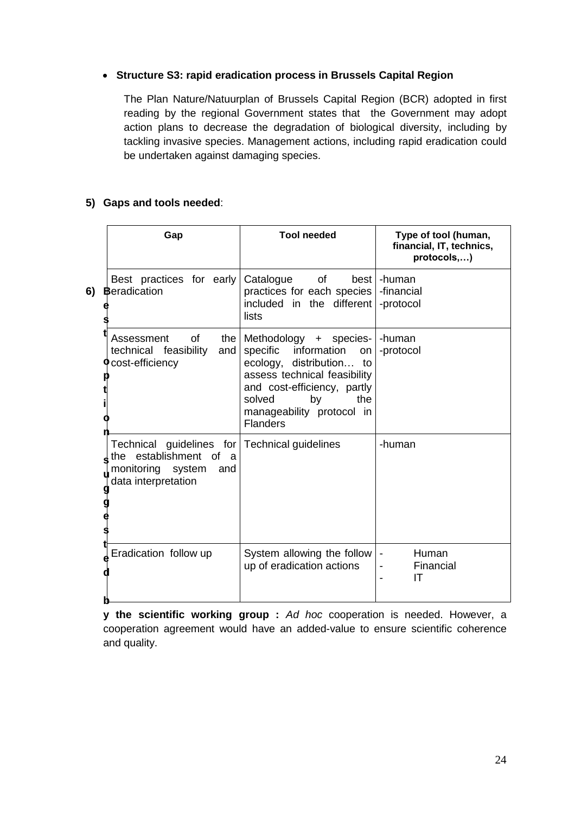#### **Structure S3: rapid eradication process in Brussels Capital Region**

The Plan Nature/Natuurplan of Brussels Capital Region (BCR) adopted in first reading by the regional Government states that the Government may adopt action plans to decrease the degradation of biological diversity, including by tackling invasive species. Management actions, including rapid eradication could be undertaken against damaging species.

#### **5) Gaps and tools needed**:

|    | Gap                                                                                                                        | <b>Tool needed</b>                                                                                                                                                                                                        | Type of tool (human,<br>financial, IT, technics,<br>protocols,) |
|----|----------------------------------------------------------------------------------------------------------------------------|---------------------------------------------------------------------------------------------------------------------------------------------------------------------------------------------------------------------------|-----------------------------------------------------------------|
| 6) | Best practices for early<br><b>Beradication</b>                                                                            | of<br>Catalogue<br>practices for each species<br>included in the different<br>lists                                                                                                                                       | best   -human<br>-financial<br>-protocol                        |
|    | Assessment<br>Ωf<br>the l<br>technical feasibility<br>and<br><b>O</b> cost-efficiency                                      | Methodology + species-<br>specific information<br>on<br>ecology, distribution<br>to<br>assess technical feasibility<br>and cost-efficiency, partly<br>solved<br>the<br>by<br>manageability protocol in<br><b>Flanders</b> | -human<br>-protocol                                             |
|    | Technical guidelines for Technical guidelines<br>the establishment of a<br>monitoring system<br>and<br>data interpretation |                                                                                                                                                                                                                           | -human                                                          |
|    | Eradication follow up                                                                                                      | System allowing the follow<br>up of eradication actions                                                                                                                                                                   | Human<br>$\overline{\phantom{a}}$<br>Financial<br>IT            |

**y the scientific working group :** *Ad hoc* cooperation is needed. However, a cooperation agreement would have an added-value to ensure scientific coherence and quality.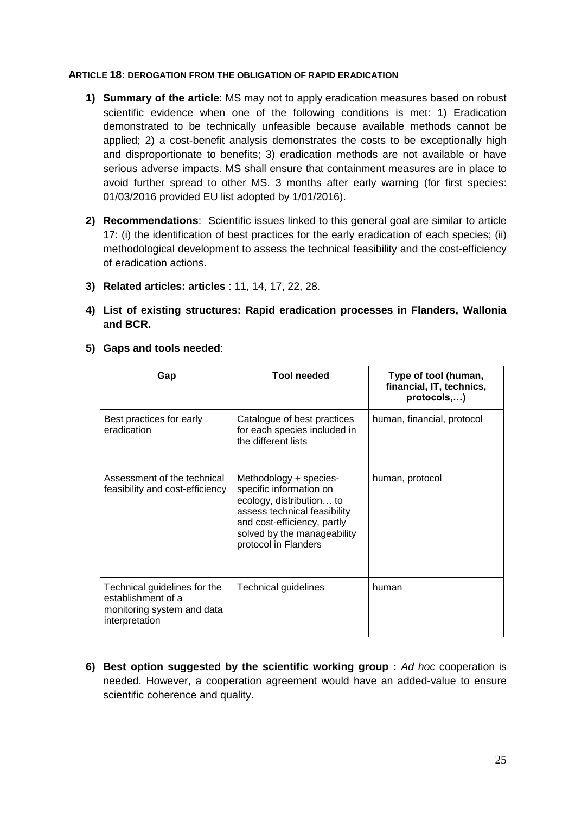#### **ARTICLE 18: DEROGATION FROM THE OBLIGATION OF RAPID ERADICATION**

- **1) Summary of the article**: MS may not to apply eradication measures based on robust scientific evidence when one of the following conditions is met: 1) Eradication demonstrated to be technically unfeasible because available methods cannot be applied; 2) a cost-benefit analysis demonstrates the costs to be exceptionally high and disproportionate to benefits; 3) eradication methods are not available or have serious adverse impacts. MS shall ensure that containment measures are in place to avoid further spread to other MS. 3 months after early warning (for first species: 01/03/2016 provided EU list adopted by 1/01/2016).
- **2) Recommendations**: Scientific issues linked to this general goal are similar to article 17: (i) the identification of best practices for the early eradication of each species; (ii) methodological development to assess the technical feasibility and the cost-efficiency of eradication actions.
- **3) Related articles: articles** : 11, 14, 17, 22, 28.
- **4) List of existing structures: Rapid eradication processes in Flanders, Wallonia and BCR.**

| Gap                                                                                                | <b>Tool needed</b>                                                                                                                                                                                  | Type of tool (human,<br>financial, IT, technics,<br>protocols,) |
|----------------------------------------------------------------------------------------------------|-----------------------------------------------------------------------------------------------------------------------------------------------------------------------------------------------------|-----------------------------------------------------------------|
| Best practices for early<br>eradication                                                            | Catalogue of best practices<br>for each species included in<br>the different lists                                                                                                                  | human, financial, protocol                                      |
| Assessment of the technical<br>feasibility and cost-efficiency                                     | Methodology + species-<br>specific information on<br>ecology, distribution to<br>assess technical feasibility<br>and cost-efficiency, partly<br>solved by the manageability<br>protocol in Flanders | human, protocol                                                 |
| Technical guidelines for the<br>establishment of a<br>monitoring system and data<br>interpretation | Technical guidelines                                                                                                                                                                                | human                                                           |

**5) Gaps and tools needed**:

**6) Best option suggested by the scientific working group :** *Ad hoc* cooperation is needed. However, a cooperation agreement would have an added-value to ensure scientific coherence and quality.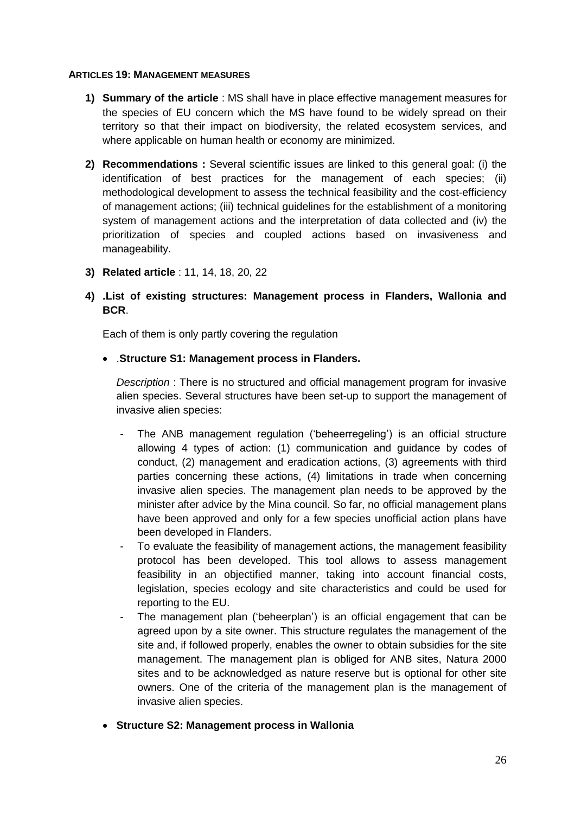#### **ARTICLES 19: MANAGEMENT MEASURES**

- **1) Summary of the article** : MS shall have in place effective management measures for the species of EU concern which the MS have found to be widely spread on their territory so that their impact on biodiversity, the related ecosystem services, and where applicable on human health or economy are minimized.
- **2) Recommendations :** Several scientific issues are linked to this general goal: (i) the identification of best practices for the management of each species; (ii) methodological development to assess the technical feasibility and the cost-efficiency of management actions; (iii) technical guidelines for the establishment of a monitoring system of management actions and the interpretation of data collected and (iv) the prioritization of species and coupled actions based on invasiveness and manageability.
- **3) Related article** : 11, 14, 18, 20, 22

#### **4) .List of existing structures: Management process in Flanders, Wallonia and BCR**.

Each of them is only partly covering the regulation

#### .**Structure S1: Management process in Flanders.**

*Description* : There is no structured and official management program for invasive alien species. Several structures have been set-up to support the management of invasive alien species:

- The ANB management regulation ('beheerregeling') is an official structure allowing 4 types of action: (1) communication and guidance by codes of conduct, (2) management and eradication actions, (3) agreements with third parties concerning these actions, (4) limitations in trade when concerning invasive alien species. The management plan needs to be approved by the minister after advice by the Mina council. So far, no official management plans have been approved and only for a few species unofficial action plans have been developed in Flanders.
- To evaluate the feasibility of management actions, the management feasibility protocol has been developed. This tool allows to assess management feasibility in an objectified manner, taking into account financial costs, legislation, species ecology and site characteristics and could be used for reporting to the EU.
- The management plan ('beheerplan') is an official engagement that can be agreed upon by a site owner. This structure regulates the management of the site and, if followed properly, enables the owner to obtain subsidies for the site management. The management plan is obliged for ANB sites, Natura 2000 sites and to be acknowledged as nature reserve but is optional for other site owners. One of the criteria of the management plan is the management of invasive alien species.
- **Structure S2: Management process in Wallonia**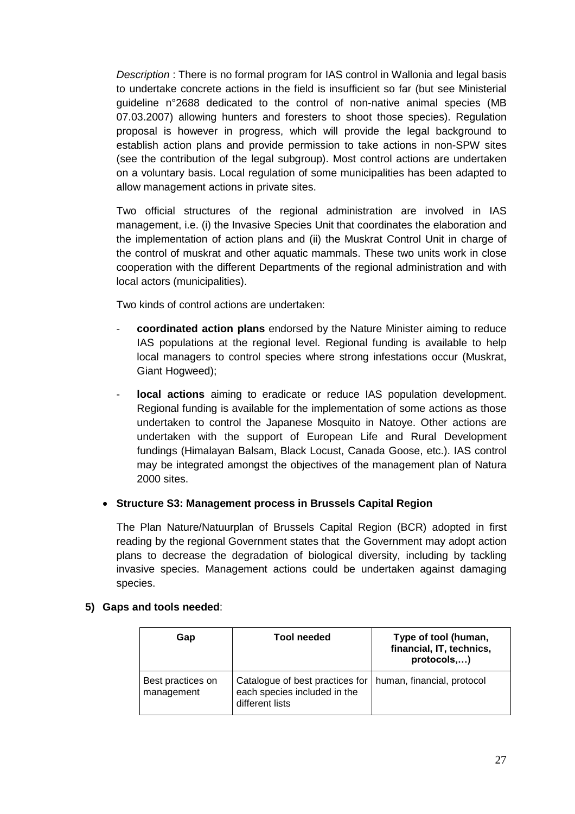*Description* : There is no formal program for IAS control in Wallonia and legal basis to undertake concrete actions in the field is insufficient so far (but see Ministerial guideline n°2688 dedicated to the control of non-native animal species (MB 07.03.2007) allowing hunters and foresters to shoot those species). Regulation proposal is however in progress, which will provide the legal background to establish action plans and provide permission to take actions in non-SPW sites (see the contribution of the legal subgroup). Most control actions are undertaken on a voluntary basis. Local regulation of some municipalities has been adapted to allow management actions in private sites.

Two official structures of the regional administration are involved in IAS management, i.e. (i) the Invasive Species Unit that coordinates the elaboration and the implementation of action plans and (ii) the Muskrat Control Unit in charge of the control of muskrat and other aquatic mammals. These two units work in close cooperation with the different Departments of the regional administration and with local actors (municipalities).

Two kinds of control actions are undertaken:

- **coordinated action plans** endorsed by the Nature Minister aiming to reduce IAS populations at the regional level. Regional funding is available to help local managers to control species where strong infestations occur (Muskrat, Giant Hogweed);
- **local actions** aiming to eradicate or reduce IAS population development. Regional funding is available for the implementation of some actions as those undertaken to control the Japanese Mosquito in Natoye. Other actions are undertaken with the support of European Life and Rural Development fundings (Himalayan Balsam, Black Locust, Canada Goose, etc.). IAS control may be integrated amongst the objectives of the management plan of Natura 2000 sites.

#### **Structure S3: Management process in Brussels Capital Region**

The Plan Nature/Natuurplan of Brussels Capital Region (BCR) adopted in first reading by the regional Government states that the Government may adopt action plans to decrease the degradation of biological diversity, including by tackling invasive species. Management actions could be undertaken against damaging species.

#### **5) Gaps and tools needed**:

| Gap                             | Tool needed                                                                                                     | Type of tool (human,<br>financial, IT, technics,<br>protocols,) |
|---------------------------------|-----------------------------------------------------------------------------------------------------------------|-----------------------------------------------------------------|
| Best practices on<br>management | Catalogue of best practices for   human, financial, protocol<br>each species included in the<br>different lists |                                                                 |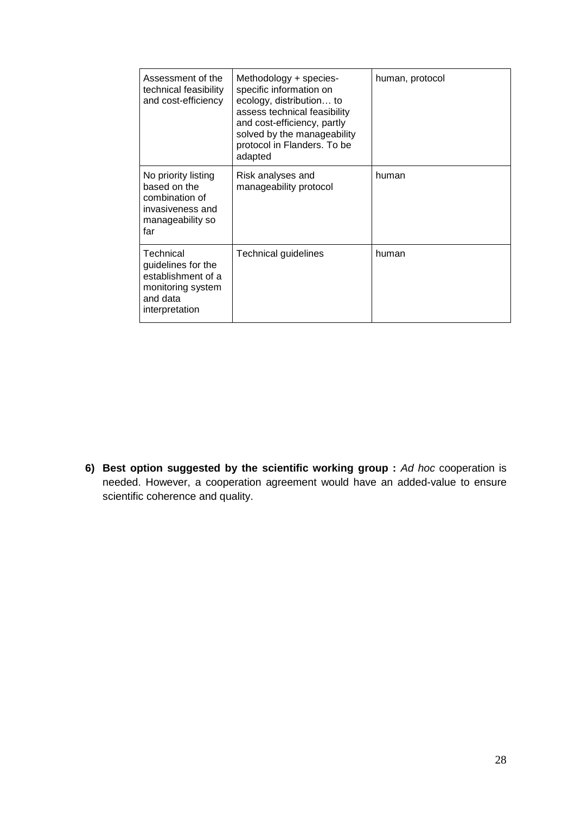| Assessment of the<br>technical feasibility<br>and cost-efficiency                                        | Methodology + species-<br>specific information on<br>ecology, distribution to<br>assess technical feasibility<br>and cost-efficiency, partly<br>solved by the manageability<br>protocol in Flanders. To be<br>adapted | human, protocol |
|----------------------------------------------------------------------------------------------------------|-----------------------------------------------------------------------------------------------------------------------------------------------------------------------------------------------------------------------|-----------------|
| No priority listing<br>based on the<br>combination of<br>invasiveness and<br>manageability so<br>far     | Risk analyses and<br>manageability protocol                                                                                                                                                                           | human           |
| Technical<br>guidelines for the<br>establishment of a<br>monitoring system<br>and data<br>interpretation | Technical guidelines                                                                                                                                                                                                  | human           |

**6) Best option suggested by the scientific working group :** *Ad hoc* cooperation is needed. However, a cooperation agreement would have an added-value to ensure scientific coherence and quality.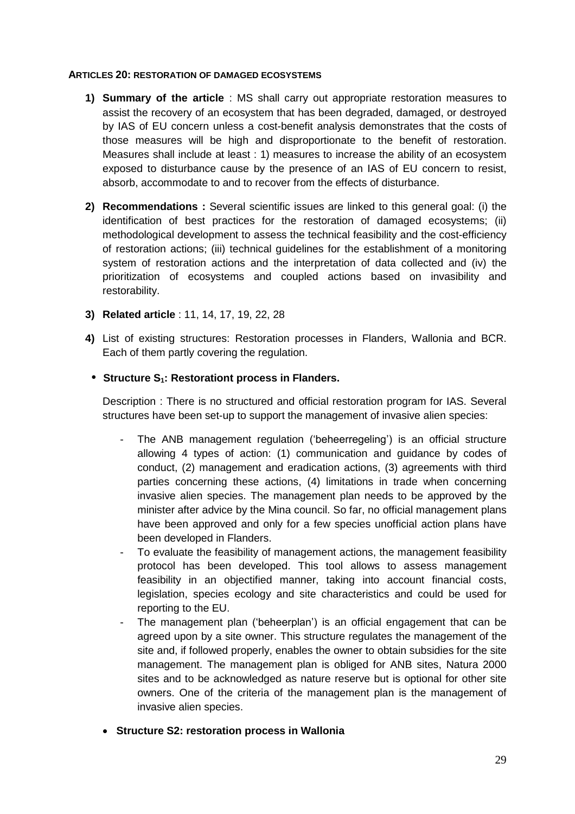#### **ARTICLES 20: RESTORATION OF DAMAGED ECOSYSTEMS**

- **1) Summary of the article** : MS shall carry out appropriate restoration measures to assist the recovery of an ecosystem that has been degraded, damaged, or destroyed by IAS of EU concern unless a cost-benefit analysis demonstrates that the costs of those measures will be high and disproportionate to the benefit of restoration. Measures shall include at least : 1) measures to increase the ability of an ecosystem exposed to disturbance cause by the presence of an IAS of EU concern to resist, absorb, accommodate to and to recover from the effects of disturbance.
- **2) Recommendations :** Several scientific issues are linked to this general goal: (i) the identification of best practices for the restoration of damaged ecosystems; (ii) methodological development to assess the technical feasibility and the cost-efficiency of restoration actions; (iii) technical guidelines for the establishment of a monitoring system of restoration actions and the interpretation of data collected and (iv) the prioritization of ecosystems and coupled actions based on invasibility and restorability.
- **3) Related article** : 11, 14, 17, 19, 22, 28
- **4)** List of existing structures: Restoration processes in Flanders, Wallonia and BCR. Each of them partly covering the regulation.
	- **• Structure S1: Restorationt process in Flanders.**

Description : There is no structured and official restoration program for IAS. Several structures have been set-up to support the management of invasive alien species:

- The ANB management regulation ('beheerregeling') is an official structure allowing 4 types of action: (1) communication and guidance by codes of conduct, (2) management and eradication actions, (3) agreements with third parties concerning these actions, (4) limitations in trade when concerning invasive alien species. The management plan needs to be approved by the minister after advice by the Mina council. So far, no official management plans have been approved and only for a few species unofficial action plans have been developed in Flanders.
- To evaluate the feasibility of management actions, the management feasibility protocol has been developed. This tool allows to assess management feasibility in an objectified manner, taking into account financial costs, legislation, species ecology and site characteristics and could be used for reporting to the EU.
- The management plan ('beheerplan') is an official engagement that can be agreed upon by a site owner. This structure regulates the management of the site and, if followed properly, enables the owner to obtain subsidies for the site management. The management plan is obliged for ANB sites, Natura 2000 sites and to be acknowledged as nature reserve but is optional for other site owners. One of the criteria of the management plan is the management of invasive alien species.
- **Structure S2: restoration process in Wallonia**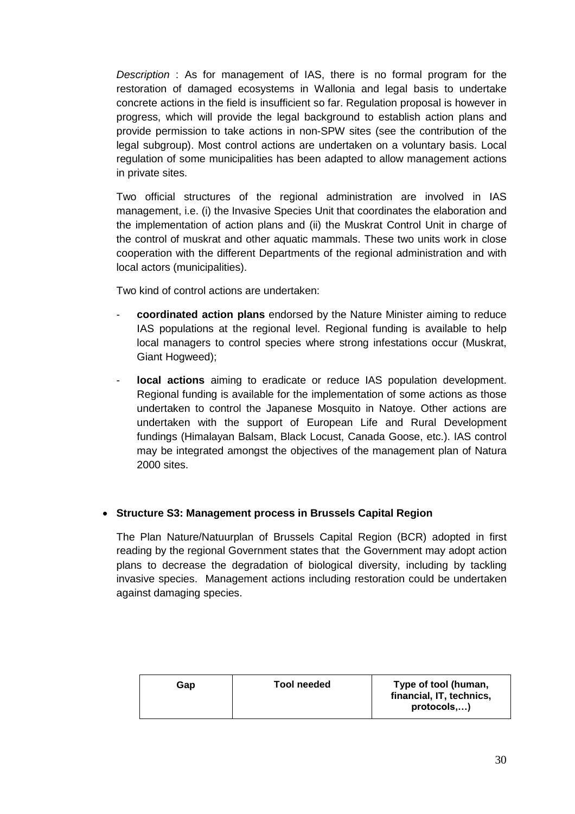*Description* : As for management of IAS, there is no formal program for the restoration of damaged ecosystems in Wallonia and legal basis to undertake concrete actions in the field is insufficient so far. Regulation proposal is however in progress, which will provide the legal background to establish action plans and provide permission to take actions in non-SPW sites (see the contribution of the legal subgroup). Most control actions are undertaken on a voluntary basis. Local regulation of some municipalities has been adapted to allow management actions in private sites.

Two official structures of the regional administration are involved in IAS management, i.e. (i) the Invasive Species Unit that coordinates the elaboration and the implementation of action plans and (ii) the Muskrat Control Unit in charge of the control of muskrat and other aquatic mammals. These two units work in close cooperation with the different Departments of the regional administration and with local actors (municipalities).

Two kind of control actions are undertaken:

- **coordinated action plans** endorsed by the Nature Minister aiming to reduce IAS populations at the regional level. Regional funding is available to help local managers to control species where strong infestations occur (Muskrat, Giant Hogweed);
- **local actions** aiming to eradicate or reduce IAS population development. Regional funding is available for the implementation of some actions as those undertaken to control the Japanese Mosquito in Natoye. Other actions are undertaken with the support of European Life and Rural Development fundings (Himalayan Balsam, Black Locust, Canada Goose, etc.). IAS control may be integrated amongst the objectives of the management plan of Natura 2000 sites.

#### **Structure S3: Management process in Brussels Capital Region**

The Plan Nature/Natuurplan of Brussels Capital Region (BCR) adopted in first reading by the regional Government states that the Government may adopt action plans to decrease the degradation of biological diversity, including by tackling invasive species. Management actions including restoration could be undertaken against damaging species.

| Gap | Tool needed | Type of tool (human,<br>financial, IT, technics,<br>protocols) |
|-----|-------------|----------------------------------------------------------------|
|-----|-------------|----------------------------------------------------------------|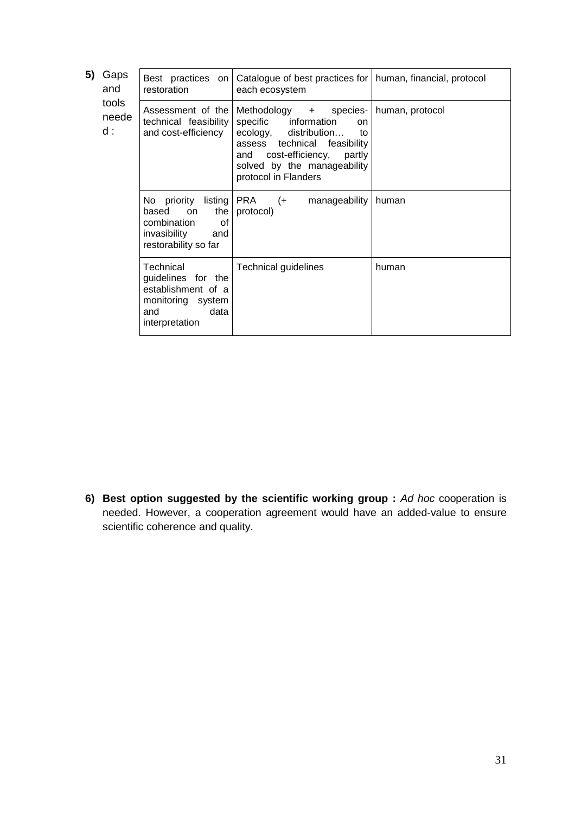| Gaps<br>and  | Best practices on<br>restoration                                                                            | Catalogue of best practices for<br>each ecosystem                                                                                                                                                                          | human, financial, protocol                   |
|--------------|-------------------------------------------------------------------------------------------------------------|----------------------------------------------------------------------------------------------------------------------------------------------------------------------------------------------------------------------------|----------------------------------------------|
| neede<br>d : | Assessment of the<br>and cost-efficiency                                                                    | Methodology +<br>species-<br>specific information<br><sub>on</sub><br>ecology, distribution<br>to<br>assess technical feasibility<br>and cost-efficiency,<br>partly<br>solved by the manageability<br>protocol in Flanders | human, protocol                              |
|              | based<br>the<br>on<br>0f<br>combination<br>invasibility<br>and<br>restorability so far                      | PRA<br>manageability<br>$(+)$<br>protocol)                                                                                                                                                                                 | human                                        |
|              | Technical<br>guidelines for the<br>establishment of a<br>monitoring system<br>and<br>data<br>interpretation | Technical guidelines                                                                                                                                                                                                       | human                                        |
|              | tools                                                                                                       |                                                                                                                                                                                                                            | technical feasibility<br>No priority listing |

**6) Best option suggested by the scientific working group :** *Ad hoc* cooperation is needed. However, a cooperation agreement would have an added-value to ensure scientific coherence and quality.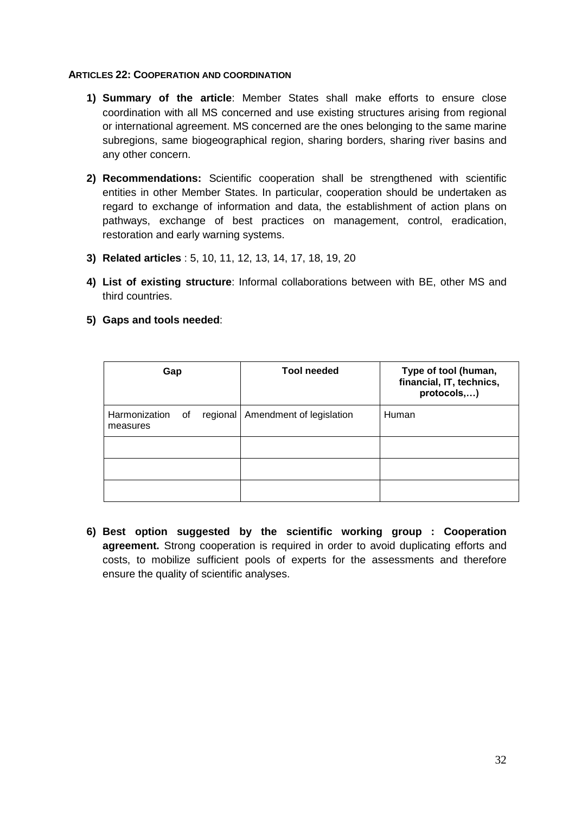#### **ARTICLES 22: COOPERATION AND COORDINATION**

- **1) Summary of the article**: Member States shall make efforts to ensure close coordination with all MS concerned and use existing structures arising from regional or international agreement. MS concerned are the ones belonging to the same marine subregions, same biogeographical region, sharing borders, sharing river basins and any other concern.
- **2) Recommendations:** Scientific cooperation shall be strengthened with scientific entities in other Member States. In particular, cooperation should be undertaken as regard to exchange of information and data, the establishment of action plans on pathways, exchange of best practices on management, control, eradication, restoration and early warning systems.
- **3) Related articles** : 5, 10, 11, 12, 13, 14, 17, 18, 19, 20
- **4) List of existing structure**: Informal collaborations between with BE, other MS and third countries.
- **5) Gaps and tools needed**:

| Gap                          |  | <b>Tool needed</b>                  | Type of tool (human,<br>financial, IT, technics,<br>protocols,) |  |
|------------------------------|--|-------------------------------------|-----------------------------------------------------------------|--|
| Harmonization of<br>measures |  | regional   Amendment of legislation | Human                                                           |  |
|                              |  |                                     |                                                                 |  |
|                              |  |                                     |                                                                 |  |
|                              |  |                                     |                                                                 |  |

**6) Best option suggested by the scientific working group : Cooperation agreement.** Strong cooperation is required in order to avoid duplicating efforts and costs, to mobilize sufficient pools of experts for the assessments and therefore ensure the quality of scientific analyses.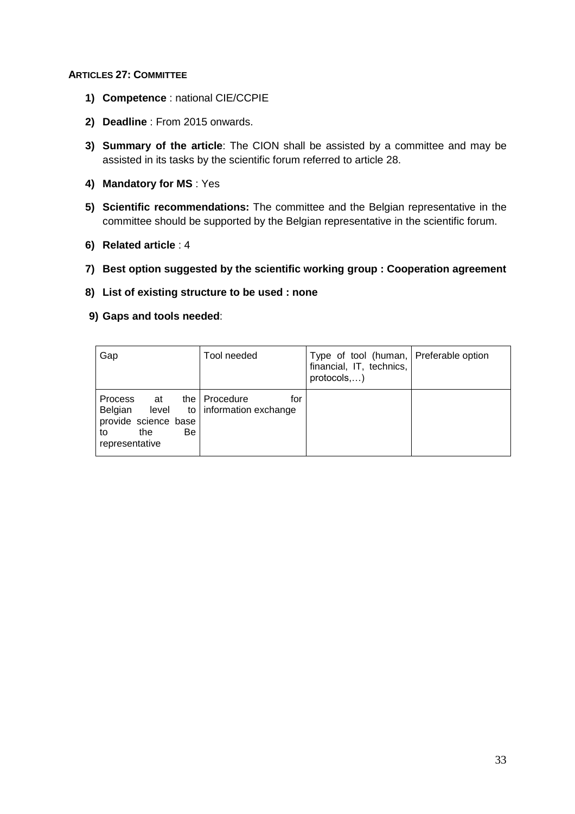#### **ARTICLES 27: COMMITTEE**

- **1) Competence** : national CIE/CCPIE
- **2) Deadline** : From 2015 onwards.
- **3) Summary of the article**: The CION shall be assisted by a committee and may be assisted in its tasks by the scientific forum referred to article 28.
- **4) Mandatory for MS** : Yes
- **5) Scientific recommendations:** The committee and the Belgian representative in the committee should be supported by the Belgian representative in the scientific forum.
- **6) Related article** : 4
- **7) Best option suggested by the scientific working group : Cooperation agreement**
- **8) List of existing structure to be used : none**
- **9) Gaps and tools needed**:

| Gap                                                                                             | Tool needed                                         | Type of tool (human, Preferable option<br>financial, IT, technics,<br>protocols,) |  |
|-------------------------------------------------------------------------------------------------|-----------------------------------------------------|-----------------------------------------------------------------------------------|--|
| Process<br>at at<br>Belgian level<br>provide science base<br>the<br>Be.<br>to<br>representative | the   Procedure<br>for<br>to   information exchange |                                                                                   |  |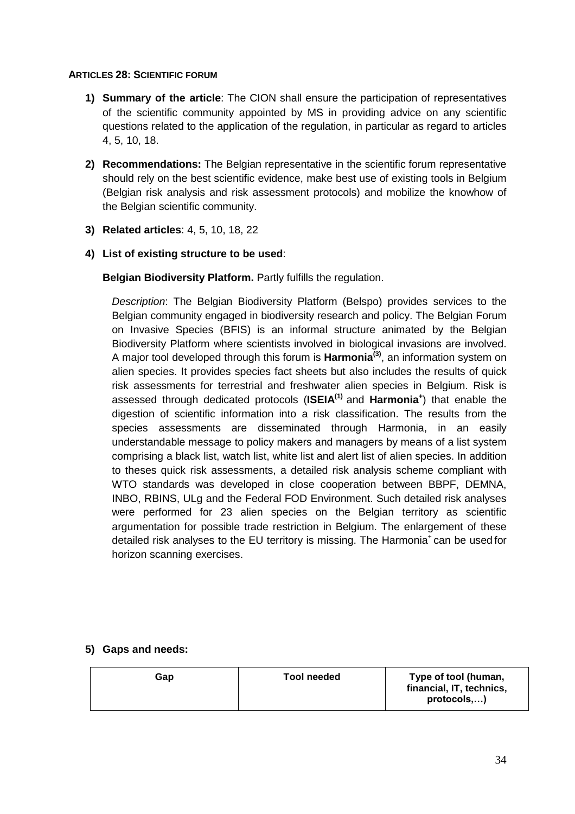#### **ARTICLES 28: SCIENTIFIC FORUM**

- **1) Summary of the article**: The CION shall ensure the participation of representatives of the scientific community appointed by MS in providing advice on any scientific questions related to the application of the regulation, in particular as regard to articles 4, 5, 10, 18.
- **2) Recommendations:** The Belgian representative in the scientific forum representative should rely on the best scientific evidence, make best use of existing tools in Belgium (Belgian risk analysis and risk assessment protocols) and mobilize the knowhow of the Belgian scientific community.
- **3) Related articles**: 4, 5, 10, 18, 22

## **4) List of existing structure to be used**:

**Belgian Biodiversity Platform.** Partly fulfills the regulation.

*Description*: The Belgian Biodiversity Platform (Belspo) provides services to the Belgian community engaged in biodiversity research and policy. The Belgian Forum on Invasive Species (BFIS) is an informal structure animated by the Belgian Biodiversity Platform where scientists involved in biological invasions are involved. A major tool developed through this forum is **Harmonia(3)** , an information system on alien species. It provides species fact sheets but also includes the results of quick risk assessments for terrestrial and freshwater alien species in Belgium. Risk is assessed through dedicated protocols (**ISEIA(1)** and **Harmonia<sup>+</sup>** ) that enable the digestion of scientific information into a risk classification. The results from the species assessments are disseminated through Harmonia, in an easily understandable message to policy makers and managers by means of a list system comprising a black list, watch list, white list and alert list of alien species. In addition to theses quick risk assessments, a detailed risk analysis scheme compliant with WTO standards was developed in close cooperation between BBPF, DEMNA, INBO, RBINS, ULg and the Federal FOD Environment. Such detailed risk analyses were performed for 23 alien species on the Belgian territory as scientific argumentation for possible trade restriction in Belgium. The enlargement of these detailed risk analyses to the EU territory is missing. The Harmonia<sup>+</sup> can be used for horizon scanning exercises.

#### **5) Gaps and needs:**

| Gap | Type of tool (human,<br>Tool needed<br>financial, IT, technics,<br>protocols,) |
|-----|--------------------------------------------------------------------------------|
|-----|--------------------------------------------------------------------------------|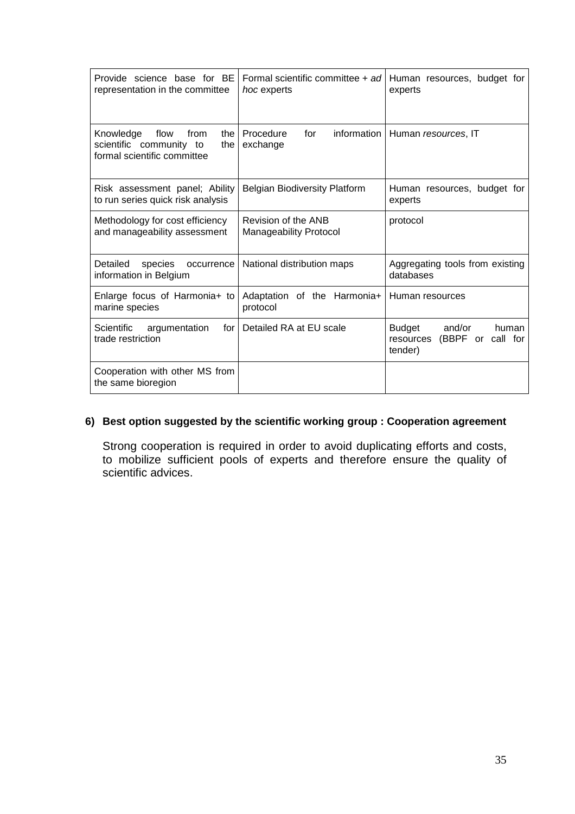| Provide science base for BE<br>representation in the committee                                    | Formal scientific committee + ad<br>hoc experts      | Human resources, budget for<br>experts                                        |
|---------------------------------------------------------------------------------------------------|------------------------------------------------------|-------------------------------------------------------------------------------|
| flow<br>Knowledge<br>from<br>the<br>scientific community to<br>the<br>formal scientific committee | information<br>Procedure<br>for<br>exchange          | Human resources, IT                                                           |
| Risk assessment panel; Ability<br>to run series quick risk analysis                               | <b>Belgian Biodiversity Platform</b>                 | Human resources, budget for<br>experts                                        |
| Methodology for cost efficiency<br>and manageability assessment                                   | Revision of the ANB<br><b>Manageability Protocol</b> | protocol                                                                      |
| Detailed<br>species<br>occurrence<br>information in Belgium                                       | National distribution maps                           | Aggregating tools from existing<br>databases                                  |
| Enlarge focus of Harmonia+ to<br>marine species                                                   | Adaptation of the Harmonia+<br>protocol              | Human resources                                                               |
| Scientific<br>argumentation<br>for I<br>trade restriction                                         | Detailed RA at EU scale                              | <b>Budget</b><br>and/or<br>human<br>(BBPF or call for<br>resources<br>tender) |
| Cooperation with other MS from<br>the same bioregion                                              |                                                      |                                                                               |

## **6) Best option suggested by the scientific working group : Cooperation agreement**

Strong cooperation is required in order to avoid duplicating efforts and costs, to mobilize sufficient pools of experts and therefore ensure the quality of scientific advices.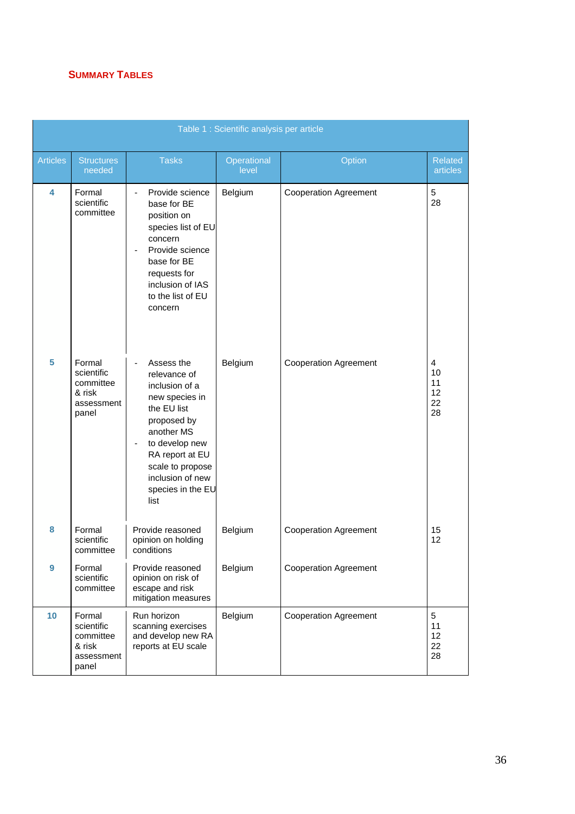## **SUMMARY TABLES**

|                  |                                                                    |                                                                                                                                                                                                                      | Table 1 : Scientific analysis per article |                              |                                 |
|------------------|--------------------------------------------------------------------|----------------------------------------------------------------------------------------------------------------------------------------------------------------------------------------------------------------------|-------------------------------------------|------------------------------|---------------------------------|
| <b>Articles</b>  | <b>Structures</b><br>needed                                        | <b>Tasks</b>                                                                                                                                                                                                         | Operational<br>level                      | Option                       | <b>Related</b><br>articles      |
| 4                | Formal<br>scientific<br>committee                                  | Provide science<br>base for BE<br>position on<br>species list of EU<br>concern<br>Provide science<br>base for BE<br>requests for<br>inclusion of IAS<br>to the list of EU<br>concern                                 | Belgium                                   | <b>Cooperation Agreement</b> | 5<br>28                         |
| 5                | Formal<br>scientific<br>committee<br>& risk<br>assessment<br>panel | Assess the<br>relevance of<br>inclusion of a<br>new species in<br>the EU list<br>proposed by<br>another MS<br>to develop new<br>RA report at EU<br>scale to propose<br>inclusion of new<br>species in the EU<br>list | Belgium                                   | <b>Cooperation Agreement</b> | 4<br>10<br>11<br>12<br>22<br>28 |
| 8                | Formal<br>scientific<br>committee                                  | Provide reasoned<br>opinion on holding<br>conditions                                                                                                                                                                 | Belgium                                   | <b>Cooperation Agreement</b> | 15<br>12                        |
| $\boldsymbol{9}$ | Formal<br>scientific<br>committee                                  | Provide reasoned<br>opinion on risk of<br>escape and risk<br>mitigation measures                                                                                                                                     | Belgium                                   | <b>Cooperation Agreement</b> |                                 |
| 10               | Formal<br>scientific<br>committee<br>& risk<br>assessment<br>panel | Run horizon<br>scanning exercises<br>and develop new RA<br>reports at EU scale                                                                                                                                       | Belgium                                   | <b>Cooperation Agreement</b> | 5<br>11<br>12<br>22<br>28       |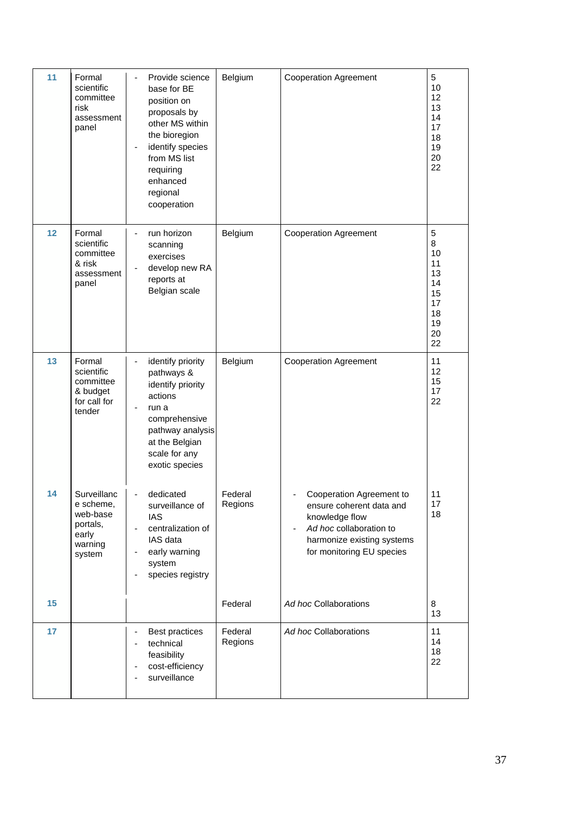| 11 | Formal<br>scientific<br>committee<br>risk<br>assessment<br>panel               | Provide science<br>base for BE<br>position on<br>proposals by<br>other MS within<br>the bioregion<br>identify species<br>from MS list<br>requiring<br>enhanced<br>regional<br>cooperation | Belgium            | <b>Cooperation Agreement</b>                                                                                                                                 | 5<br>10<br>12<br>13<br>14<br>17<br>18<br>19<br>20<br>22            |
|----|--------------------------------------------------------------------------------|-------------------------------------------------------------------------------------------------------------------------------------------------------------------------------------------|--------------------|--------------------------------------------------------------------------------------------------------------------------------------------------------------|--------------------------------------------------------------------|
| 12 | Formal<br>scientific<br>committee<br>& risk<br>assessment<br>panel             | run horizon<br>scanning<br>exercises<br>develop new RA<br>reports at<br>Belgian scale                                                                                                     | Belgium            | <b>Cooperation Agreement</b>                                                                                                                                 | 5<br>8<br>10<br>11<br>13<br>14<br>15<br>17<br>18<br>19<br>20<br>22 |
| 13 | Formal<br>scientific<br>committee<br>& budget<br>for call for<br>tender        | identify priority<br>pathways &<br>identify priority<br>actions<br>run a<br>comprehensive<br>pathway analysis<br>at the Belgian<br>scale for any<br>exotic species                        | Belgium            | <b>Cooperation Agreement</b>                                                                                                                                 | 11<br>12<br>15<br>17<br>22                                         |
| 14 | Surveillanc<br>e scheme,<br>web-base<br>portals,<br>early<br>warning<br>system | dedicated<br>٠<br>surveillance of<br><b>IAS</b><br>centralization of<br>-<br>IAS data<br>early warning<br>system<br>species registry<br>-                                                 | Federal<br>Regions | Cooperation Agreement to<br>ensure coherent data and<br>knowledge flow<br>Ad hoc collaboration to<br>harmonize existing systems<br>for monitoring EU species | 11<br>17<br>18                                                     |
| 15 |                                                                                |                                                                                                                                                                                           | Federal            | Ad hoc Collaborations                                                                                                                                        | 8<br>13                                                            |
| 17 |                                                                                | <b>Best practices</b><br>technical<br>feasibility<br>cost-efficiency<br>surveillance                                                                                                      | Federal<br>Regions | Ad hoc Collaborations                                                                                                                                        | 11<br>14<br>18<br>22                                               |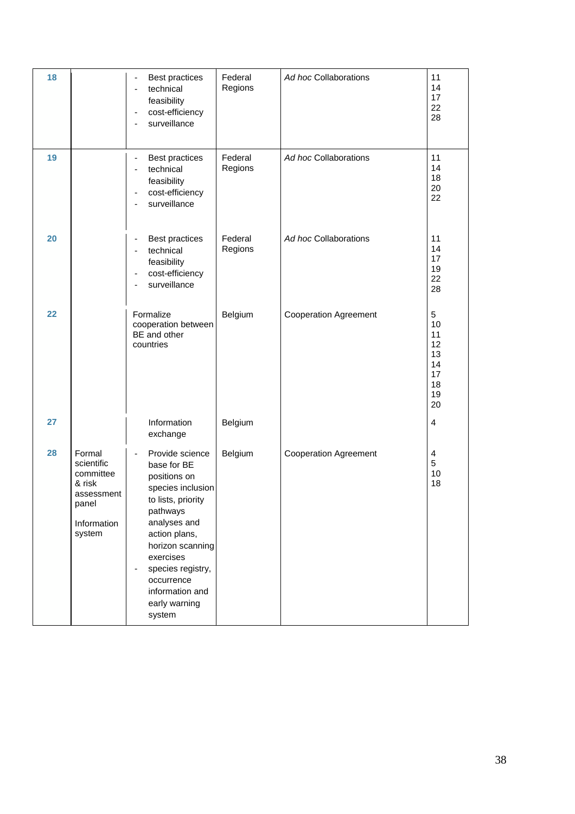| 18 |                                                                                             | <b>Best practices</b><br>technical<br>feasibility<br>cost-efficiency<br>-<br>surveillance                                                                                                                                                                          | Federal<br>Regions | Ad hoc Collaborations        | 11<br>14<br>17<br>22<br>28                              |
|----|---------------------------------------------------------------------------------------------|--------------------------------------------------------------------------------------------------------------------------------------------------------------------------------------------------------------------------------------------------------------------|--------------------|------------------------------|---------------------------------------------------------|
| 19 |                                                                                             | <b>Best practices</b><br>٠<br>technical<br>٠<br>feasibility<br>cost-efficiency<br>-<br>surveillance                                                                                                                                                                | Federal<br>Regions | Ad hoc Collaborations        | 11<br>14<br>18<br>20<br>22                              |
| 20 |                                                                                             | Best practices<br>٠<br>technical<br>$\overline{a}$<br>feasibility<br>cost-efficiency<br>-<br>surveillance                                                                                                                                                          | Federal<br>Regions | Ad hoc Collaborations        | 11<br>14<br>17<br>19<br>22<br>28                        |
| 22 |                                                                                             | Formalize<br>cooperation between<br>BE and other<br>countries                                                                                                                                                                                                      | Belgium            | <b>Cooperation Agreement</b> | 5<br>10<br>11<br>12<br>13<br>14<br>17<br>18<br>19<br>20 |
| 27 |                                                                                             | Information<br>exchange                                                                                                                                                                                                                                            | Belgium            |                              | $\overline{4}$                                          |
| 28 | Formal<br>scientific<br>committee<br>& risk<br>assessment<br>panel<br>Information<br>system | Provide science<br>-<br>base for BE<br>positions on<br>species inclusion<br>to lists, priority<br>pathways<br>analyses and<br>action plans,<br>horizon scanning<br>exercises<br>species registry,<br>-<br>occurrence<br>information and<br>early warning<br>system | Belgium            | <b>Cooperation Agreement</b> | $\overline{4}$<br>5<br>10<br>18                         |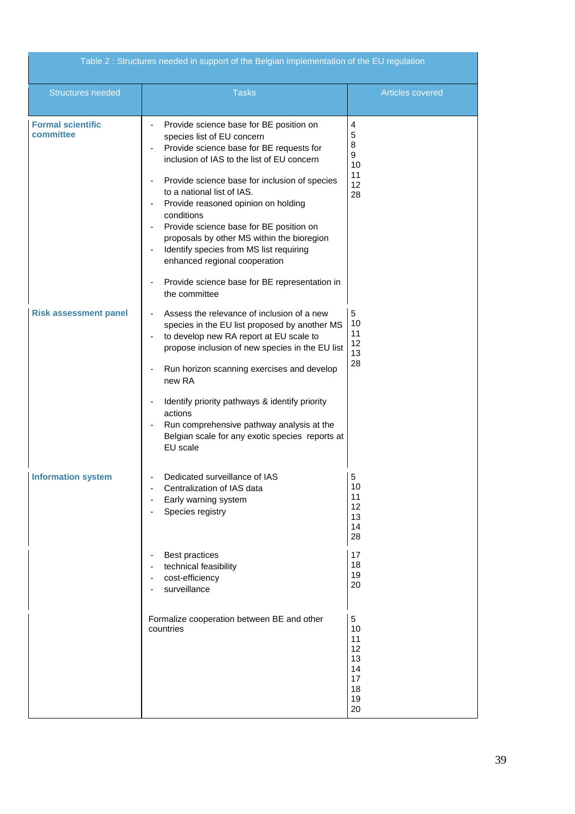| Table 2 : Structures needed in support of the Belgian implementation of the EU regulation |                                                                                                                                                                                                                                                                                                                                                                                                                                                                                                                                            |                                                         |
|-------------------------------------------------------------------------------------------|--------------------------------------------------------------------------------------------------------------------------------------------------------------------------------------------------------------------------------------------------------------------------------------------------------------------------------------------------------------------------------------------------------------------------------------------------------------------------------------------------------------------------------------------|---------------------------------------------------------|
| <b>Structures needed</b>                                                                  | <b>Tasks</b>                                                                                                                                                                                                                                                                                                                                                                                                                                                                                                                               | Articles covered                                        |
| <b>Formal scientific</b><br>committee                                                     | Provide science base for BE position on<br>species list of EU concern<br>Provide science base for BE requests for<br>inclusion of IAS to the list of EU concern<br>Provide science base for inclusion of species<br>to a national list of IAS.<br>Provide reasoned opinion on holding<br>conditions<br>Provide science base for BE position on<br>proposals by other MS within the bioregion<br>Identify species from MS list requiring<br>enhanced regional cooperation<br>Provide science base for BE representation in<br>the committee | 4<br>5<br>8<br>9<br>10<br>11<br>12<br>28                |
| <b>Risk assessment panel</b>                                                              | Assess the relevance of inclusion of a new<br>$\overline{\phantom{a}}$<br>species in the EU list proposed by another MS<br>to develop new RA report at EU scale to<br>$\blacksquare$<br>propose inclusion of new species in the EU list<br>Run horizon scanning exercises and develop<br>$\overline{\phantom{a}}$<br>new RA<br>Identify priority pathways & identify priority<br>actions<br>Run comprehensive pathway analysis at the<br>Belgian scale for any exotic species reports at<br>EU scale                                       | 5<br>10<br>11<br>12<br>13<br>28                         |
| <b>Information system</b>                                                                 | Dedicated surveillance of IAS<br>Centralization of IAS data<br>Early warning system<br>Species registry                                                                                                                                                                                                                                                                                                                                                                                                                                    | 5<br>10<br>11<br>12<br>13<br>14<br>28                   |
|                                                                                           | <b>Best practices</b><br>technical feasibility<br>cost-efficiency<br>surveillance                                                                                                                                                                                                                                                                                                                                                                                                                                                          | 17<br>18<br>19<br>20                                    |
|                                                                                           | Formalize cooperation between BE and other<br>countries                                                                                                                                                                                                                                                                                                                                                                                                                                                                                    | 5<br>10<br>11<br>12<br>13<br>14<br>17<br>18<br>19<br>20 |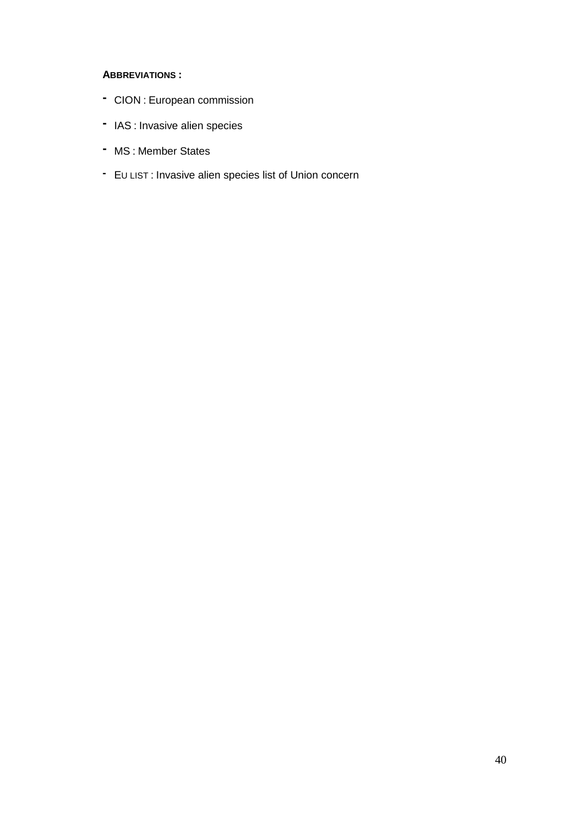#### **ABBREVIATIONS :**

- **-** CION : European commission
- **-** IAS : Invasive alien species
- **-** MS : Member States
- **-** E<sup>U</sup> LIST : Invasive alien species list of Union concern